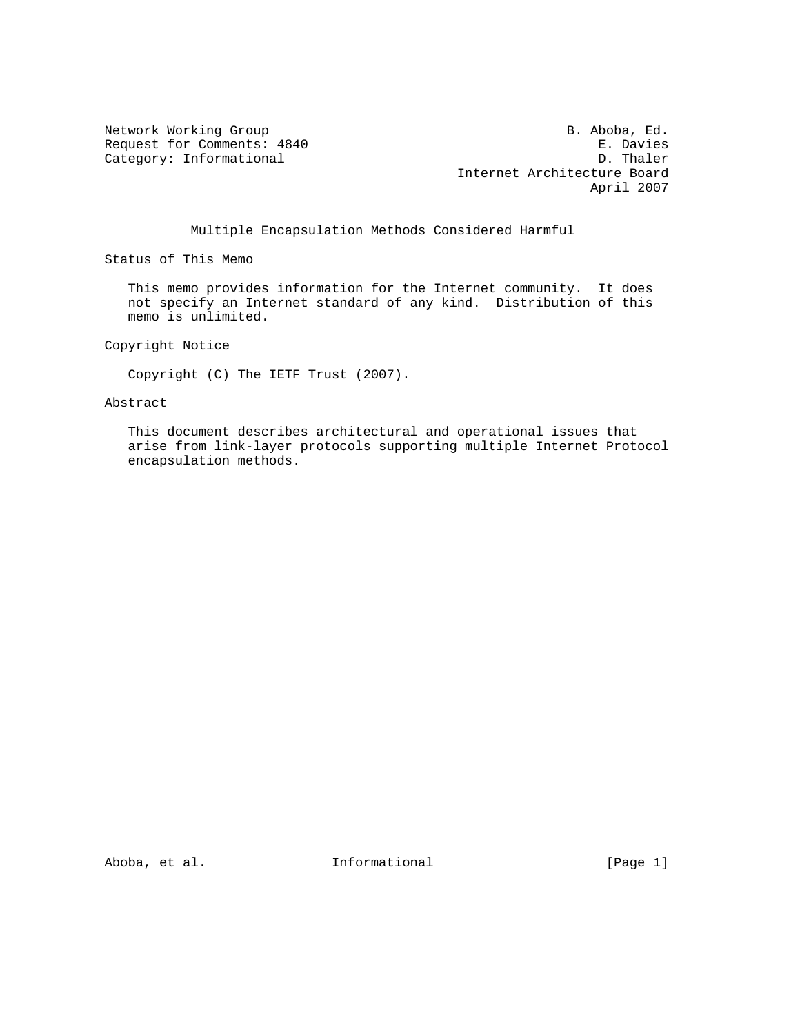Category: Informational

Network Working Group and the set of the set of the B. Aboba, Ed. Request for Comments: 4840 E. Davies<br>
Category: Informational D. Thaler Internet Architecture Board April 2007

### Multiple Encapsulation Methods Considered Harmful

Status of This Memo

 This memo provides information for the Internet community. It does not specify an Internet standard of any kind. Distribution of this memo is unlimited.

Copyright Notice

Copyright (C) The IETF Trust (2007).

Abstract

 This document describes architectural and operational issues that arise from link-layer protocols supporting multiple Internet Protocol encapsulation methods.

Aboba, et al. 111formational 111 [Page 1]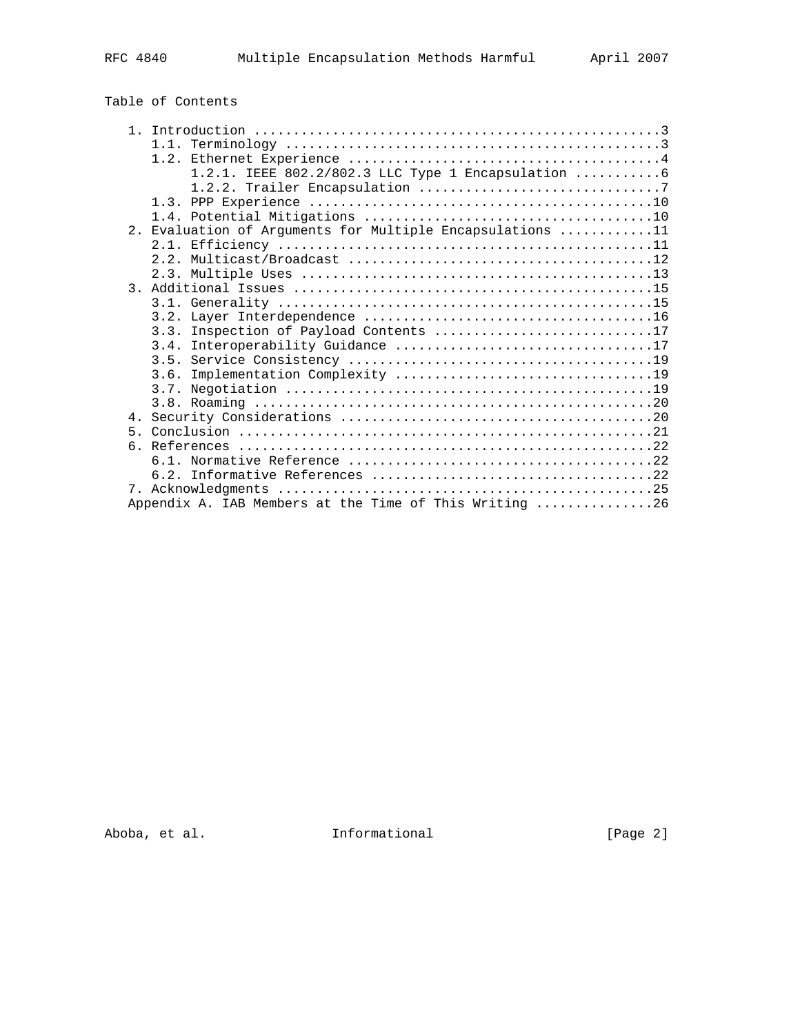# Table of Contents

|                  | 1.2.1. IEEE 802.2/802.3 LLC Type 1 Encapsulation 6     |
|------------------|--------------------------------------------------------|
|                  |                                                        |
|                  |                                                        |
|                  |                                                        |
| 2.               | Evaluation of Arguments for Multiple Encapsulations 11 |
|                  |                                                        |
|                  |                                                        |
|                  |                                                        |
| $\overline{3}$ . |                                                        |
|                  |                                                        |
|                  |                                                        |
|                  | 3.3. Inspection of Payload Contents 17                 |
|                  |                                                        |
|                  |                                                        |
|                  |                                                        |
|                  |                                                        |
|                  |                                                        |
|                  |                                                        |
|                  |                                                        |
| б.               |                                                        |
|                  |                                                        |
|                  |                                                        |
|                  |                                                        |
|                  | Appendix A. IAB Members at the Time of This Writing 26 |
|                  |                                                        |

Aboba, et al. 1nformational 1992 [Page 2]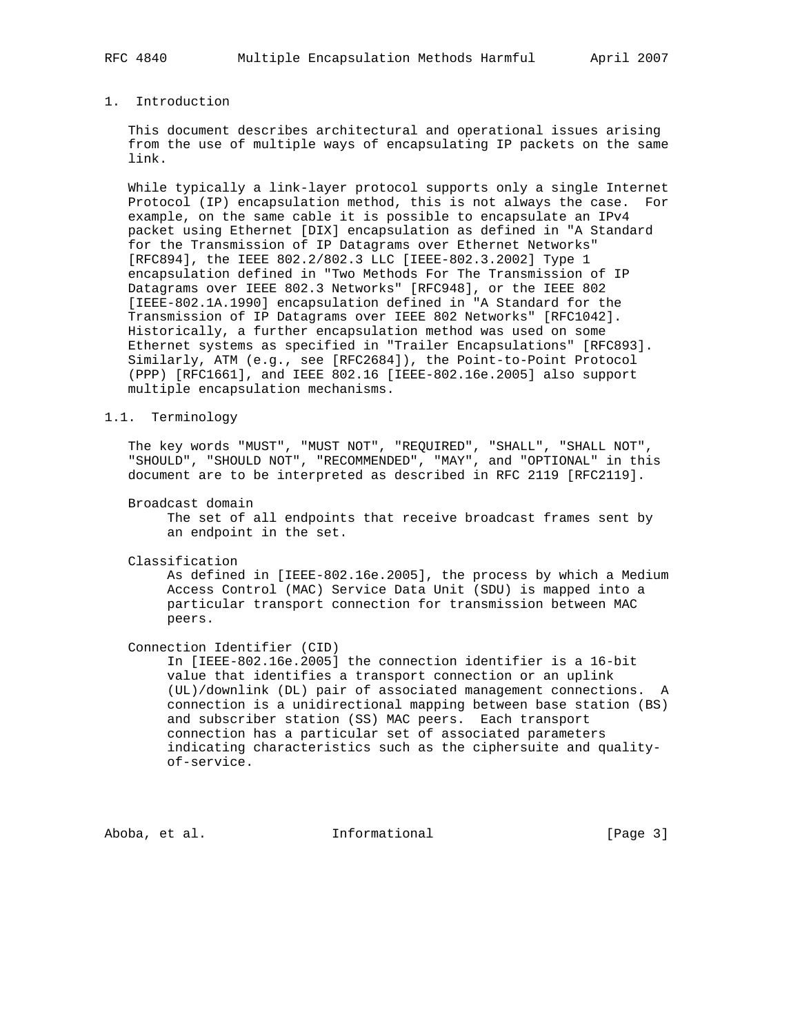# 1. Introduction

 This document describes architectural and operational issues arising from the use of multiple ways of encapsulating IP packets on the same link.

 While typically a link-layer protocol supports only a single Internet Protocol (IP) encapsulation method, this is not always the case. For example, on the same cable it is possible to encapsulate an IPv4 packet using Ethernet [DIX] encapsulation as defined in "A Standard for the Transmission of IP Datagrams over Ethernet Networks" [RFC894], the IEEE 802.2/802.3 LLC [IEEE-802.3.2002] Type 1 encapsulation defined in "Two Methods For The Transmission of IP Datagrams over IEEE 802.3 Networks" [RFC948], or the IEEE 802 [IEEE-802.1A.1990] encapsulation defined in "A Standard for the Transmission of IP Datagrams over IEEE 802 Networks" [RFC1042]. Historically, a further encapsulation method was used on some Ethernet systems as specified in "Trailer Encapsulations" [RFC893]. Similarly, ATM (e.g., see [RFC2684]), the Point-to-Point Protocol (PPP) [RFC1661], and IEEE 802.16 [IEEE-802.16e.2005] also support multiple encapsulation mechanisms.

#### 1.1. Terminology

 The key words "MUST", "MUST NOT", "REQUIRED", "SHALL", "SHALL NOT", "SHOULD", "SHOULD NOT", "RECOMMENDED", "MAY", and "OPTIONAL" in this document are to be interpreted as described in RFC 2119 [RFC2119].

Broadcast domain

 The set of all endpoints that receive broadcast frames sent by an endpoint in the set.

Classification

 As defined in [IEEE-802.16e.2005], the process by which a Medium Access Control (MAC) Service Data Unit (SDU) is mapped into a particular transport connection for transmission between MAC peers.

Connection Identifier (CID)

 In [IEEE-802.16e.2005] the connection identifier is a 16-bit value that identifies a transport connection or an uplink (UL)/downlink (DL) pair of associated management connections. A connection is a unidirectional mapping between base station (BS) and subscriber station (SS) MAC peers. Each transport connection has a particular set of associated parameters indicating characteristics such as the ciphersuite and quality of-service.

Aboba, et al. **Informational** [Page 3]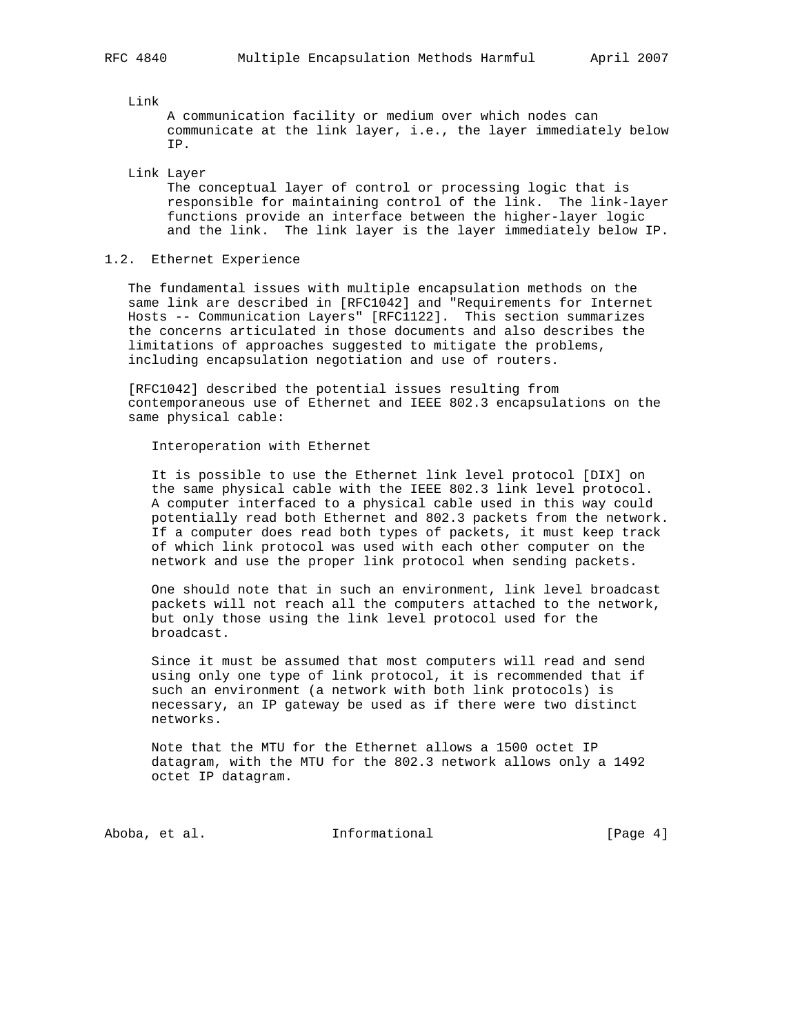Link

 A communication facility or medium over which nodes can communicate at the link layer, i.e., the layer immediately below IP.

Link Layer

 The conceptual layer of control or processing logic that is responsible for maintaining control of the link. The link-layer functions provide an interface between the higher-layer logic and the link. The link layer is the layer immediately below IP.

### 1.2. Ethernet Experience

 The fundamental issues with multiple encapsulation methods on the same link are described in [RFC1042] and "Requirements for Internet Hosts -- Communication Layers" [RFC1122]. This section summarizes the concerns articulated in those documents and also describes the limitations of approaches suggested to mitigate the problems, including encapsulation negotiation and use of routers.

 [RFC1042] described the potential issues resulting from contemporaneous use of Ethernet and IEEE 802.3 encapsulations on the same physical cable:

Interoperation with Ethernet

 It is possible to use the Ethernet link level protocol [DIX] on the same physical cable with the IEEE 802.3 link level protocol. A computer interfaced to a physical cable used in this way could potentially read both Ethernet and 802.3 packets from the network. If a computer does read both types of packets, it must keep track of which link protocol was used with each other computer on the network and use the proper link protocol when sending packets.

 One should note that in such an environment, link level broadcast packets will not reach all the computers attached to the network, but only those using the link level protocol used for the broadcast.

 Since it must be assumed that most computers will read and send using only one type of link protocol, it is recommended that if such an environment (a network with both link protocols) is necessary, an IP gateway be used as if there were two distinct networks.

 Note that the MTU for the Ethernet allows a 1500 octet IP datagram, with the MTU for the 802.3 network allows only a 1492 octet IP datagram.

Aboba, et al. 10 Informational 10 1 [Page 4]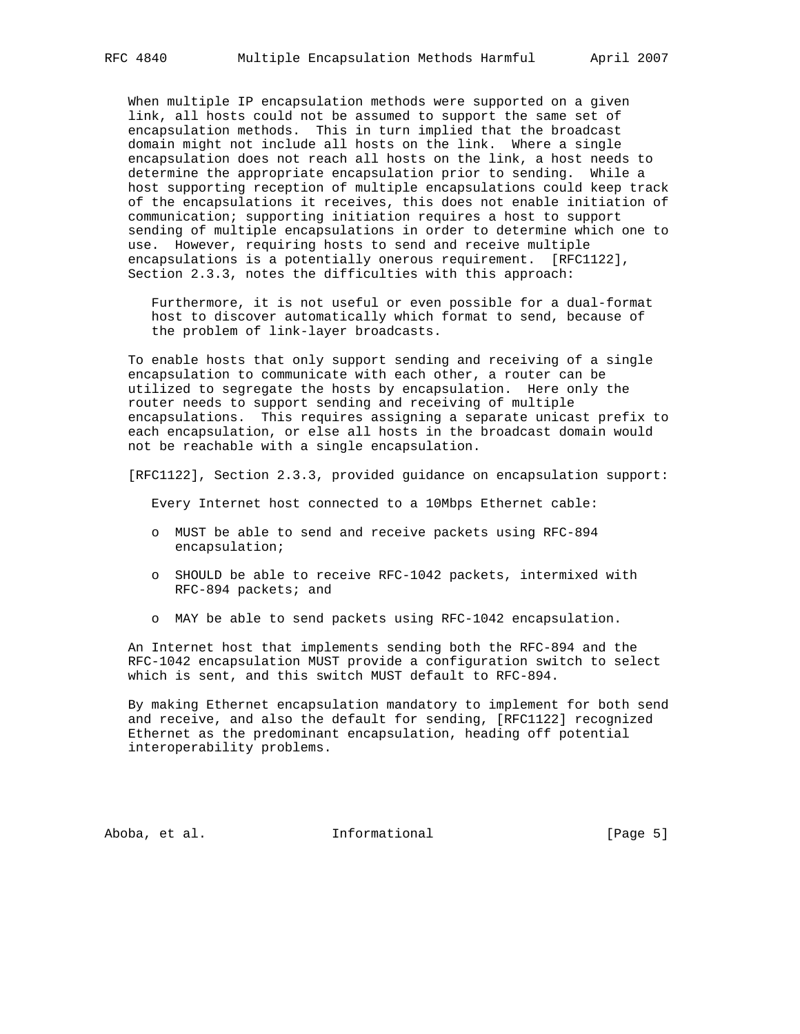When multiple IP encapsulation methods were supported on a given link, all hosts could not be assumed to support the same set of encapsulation methods. This in turn implied that the broadcast domain might not include all hosts on the link. Where a single encapsulation does not reach all hosts on the link, a host needs to determine the appropriate encapsulation prior to sending. While a host supporting reception of multiple encapsulations could keep track of the encapsulations it receives, this does not enable initiation of communication; supporting initiation requires a host to support sending of multiple encapsulations in order to determine which one to use. However, requiring hosts to send and receive multiple encapsulations is a potentially onerous requirement. [RFC1122], Section 2.3.3, notes the difficulties with this approach:

 Furthermore, it is not useful or even possible for a dual-format host to discover automatically which format to send, because of the problem of link-layer broadcasts.

 To enable hosts that only support sending and receiving of a single encapsulation to communicate with each other, a router can be utilized to segregate the hosts by encapsulation. Here only the router needs to support sending and receiving of multiple encapsulations. This requires assigning a separate unicast prefix to each encapsulation, or else all hosts in the broadcast domain would not be reachable with a single encapsulation.

[RFC1122], Section 2.3.3, provided guidance on encapsulation support:

Every Internet host connected to a 10Mbps Ethernet cable:

- o MUST be able to send and receive packets using RFC-894 encapsulation;
- o SHOULD be able to receive RFC-1042 packets, intermixed with RFC-894 packets; and
- o MAY be able to send packets using RFC-1042 encapsulation.

 An Internet host that implements sending both the RFC-894 and the RFC-1042 encapsulation MUST provide a configuration switch to select which is sent, and this switch MUST default to RFC-894.

 By making Ethernet encapsulation mandatory to implement for both send and receive, and also the default for sending, [RFC1122] recognized Ethernet as the predominant encapsulation, heading off potential interoperability problems.

Aboba, et al. **Informational** [Page 5]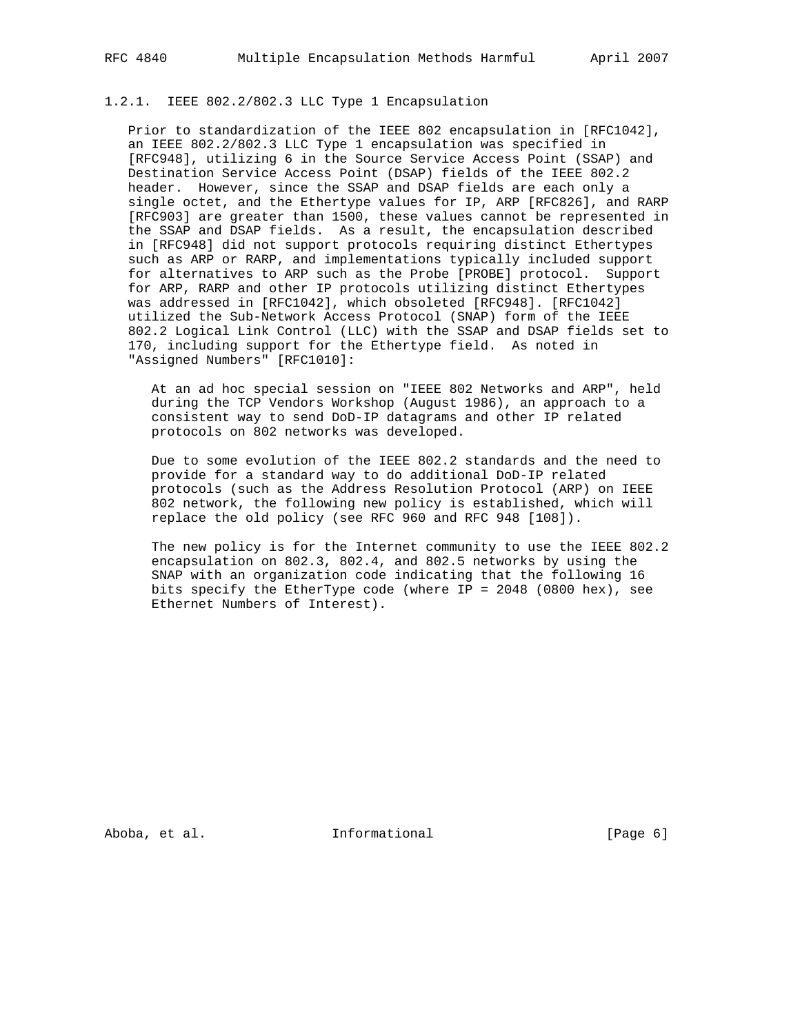# 1.2.1. IEEE 802.2/802.3 LLC Type 1 Encapsulation

 Prior to standardization of the IEEE 802 encapsulation in [RFC1042], an IEEE 802.2/802.3 LLC Type 1 encapsulation was specified in [RFC948], utilizing 6 in the Source Service Access Point (SSAP) and Destination Service Access Point (DSAP) fields of the IEEE 802.2 header. However, since the SSAP and DSAP fields are each only a single octet, and the Ethertype values for IP, ARP [RFC826], and RARP [RFC903] are greater than 1500, these values cannot be represented in the SSAP and DSAP fields. As a result, the encapsulation described in [RFC948] did not support protocols requiring distinct Ethertypes such as ARP or RARP, and implementations typically included support for alternatives to ARP such as the Probe [PROBE] protocol. Support for ARP, RARP and other IP protocols utilizing distinct Ethertypes was addressed in [RFC1042], which obsoleted [RFC948]. [RFC1042] utilized the Sub-Network Access Protocol (SNAP) form of the IEEE 802.2 Logical Link Control (LLC) with the SSAP and DSAP fields set to 170, including support for the Ethertype field. As noted in "Assigned Numbers" [RFC1010]:

 At an ad hoc special session on "IEEE 802 Networks and ARP", held during the TCP Vendors Workshop (August 1986), an approach to a consistent way to send DoD-IP datagrams and other IP related protocols on 802 networks was developed.

 Due to some evolution of the IEEE 802.2 standards and the need to provide for a standard way to do additional DoD-IP related protocols (such as the Address Resolution Protocol (ARP) on IEEE 802 network, the following new policy is established, which will replace the old policy (see RFC 960 and RFC 948 [108]).

 The new policy is for the Internet community to use the IEEE 802.2 encapsulation on 802.3, 802.4, and 802.5 networks by using the SNAP with an organization code indicating that the following 16 bits specify the EtherType code (where IP = 2048 (0800 hex), see Ethernet Numbers of Interest).

Aboba, et al. 10 Informational 1000 [Page 6]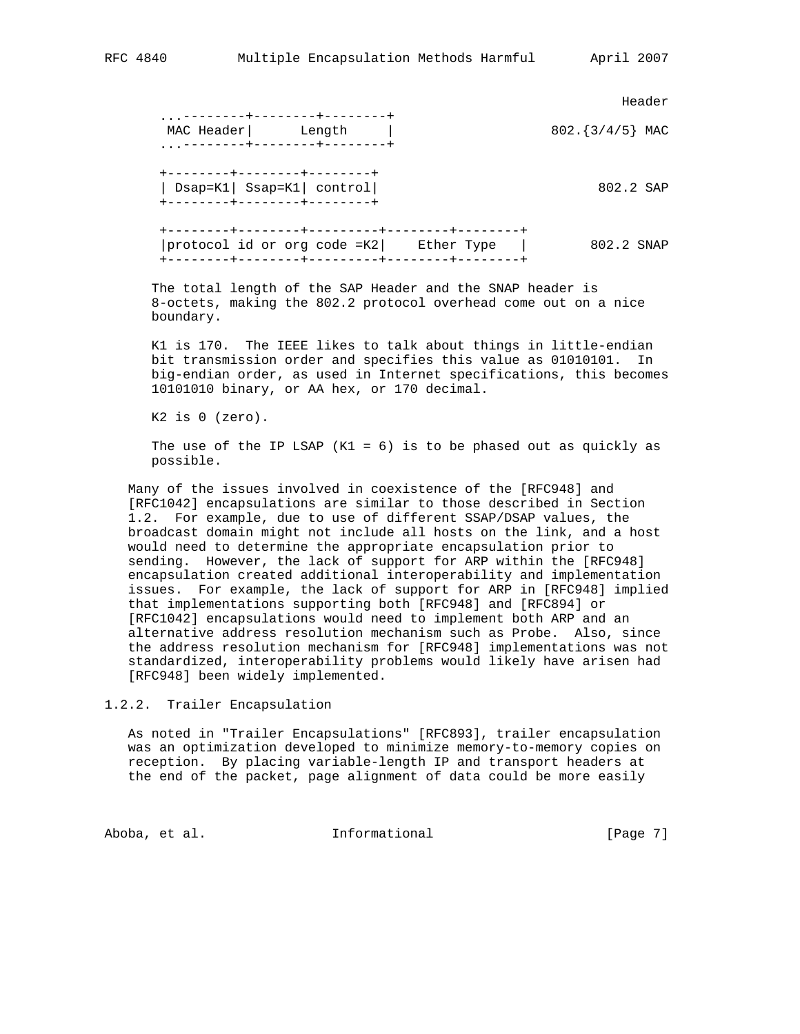Header (1999) and the control of the control of the control of the control of the control of the control of the control of the control of the control of the control of the control of the control of the control of the contr ...--------+---------+---------+<br>MAC Header| Length |  $802.\{3/4/5\}$  MAC ...--------+--------+--------+ +--------+--------+--------+ | Dsap=K1| Ssap=K1| control| 802.2 SAP +--------+--------+--------+ +--------+--------+---------+--------+--------+ |protocol id or org code =K2| Ether Type | 802.2 SNAP +--------+--------+---------+--------+--------+

 The total length of the SAP Header and the SNAP header is 8-octets, making the 802.2 protocol overhead come out on a nice boundary.

 K1 is 170. The IEEE likes to talk about things in little-endian bit transmission order and specifies this value as 01010101. In big-endian order, as used in Internet specifications, this becomes 10101010 binary, or AA hex, or 170 decimal.

K2 is 0 (zero).

The use of the IP LSAP  $(K1 = 6)$  is to be phased out as quickly as possible.

 Many of the issues involved in coexistence of the [RFC948] and [RFC1042] encapsulations are similar to those described in Section 1.2. For example, due to use of different SSAP/DSAP values, the broadcast domain might not include all hosts on the link, and a host would need to determine the appropriate encapsulation prior to sending. However, the lack of support for ARP within the [RFC948] encapsulation created additional interoperability and implementation issues. For example, the lack of support for ARP in [RFC948] implied that implementations supporting both [RFC948] and [RFC894] or [RFC1042] encapsulations would need to implement both ARP and an alternative address resolution mechanism such as Probe. Also, since the address resolution mechanism for [RFC948] implementations was not standardized, interoperability problems would likely have arisen had [RFC948] been widely implemented.

1.2.2. Trailer Encapsulation

 As noted in "Trailer Encapsulations" [RFC893], trailer encapsulation was an optimization developed to minimize memory-to-memory copies on reception. By placing variable-length IP and transport headers at the end of the packet, page alignment of data could be more easily

Aboba, et al. 10 Informational 1000 [Page 7]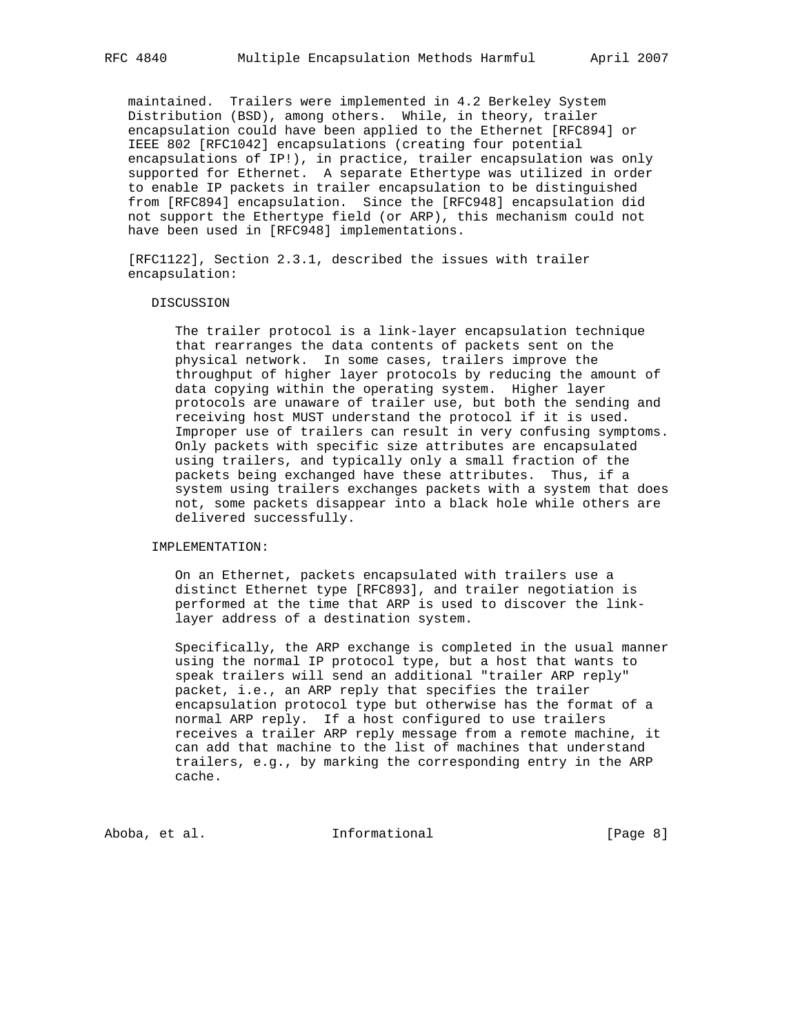maintained. Trailers were implemented in 4.2 Berkeley System Distribution (BSD), among others. While, in theory, trailer encapsulation could have been applied to the Ethernet [RFC894] or IEEE 802 [RFC1042] encapsulations (creating four potential encapsulations of IP!), in practice, trailer encapsulation was only supported for Ethernet. A separate Ethertype was utilized in order to enable IP packets in trailer encapsulation to be distinguished from [RFC894] encapsulation. Since the [RFC948] encapsulation did not support the Ethertype field (or ARP), this mechanism could not have been used in [RFC948] implementations.

 [RFC1122], Section 2.3.1, described the issues with trailer encapsulation:

#### DISCUSSION

 The trailer protocol is a link-layer encapsulation technique that rearranges the data contents of packets sent on the physical network. In some cases, trailers improve the throughput of higher layer protocols by reducing the amount of data copying within the operating system. Higher layer protocols are unaware of trailer use, but both the sending and receiving host MUST understand the protocol if it is used. Improper use of trailers can result in very confusing symptoms. Only packets with specific size attributes are encapsulated using trailers, and typically only a small fraction of the packets being exchanged have these attributes. Thus, if a system using trailers exchanges packets with a system that does not, some packets disappear into a black hole while others are delivered successfully.

#### IMPLEMENTATION:

 On an Ethernet, packets encapsulated with trailers use a distinct Ethernet type [RFC893], and trailer negotiation is performed at the time that ARP is used to discover the link layer address of a destination system.

 Specifically, the ARP exchange is completed in the usual manner using the normal IP protocol type, but a host that wants to speak trailers will send an additional "trailer ARP reply" packet, i.e., an ARP reply that specifies the trailer encapsulation protocol type but otherwise has the format of a normal ARP reply. If a host configured to use trailers receives a trailer ARP reply message from a remote machine, it can add that machine to the list of machines that understand trailers, e.g., by marking the corresponding entry in the ARP cache.

Aboba, et al. 10 Informational 10 100 [Page 8]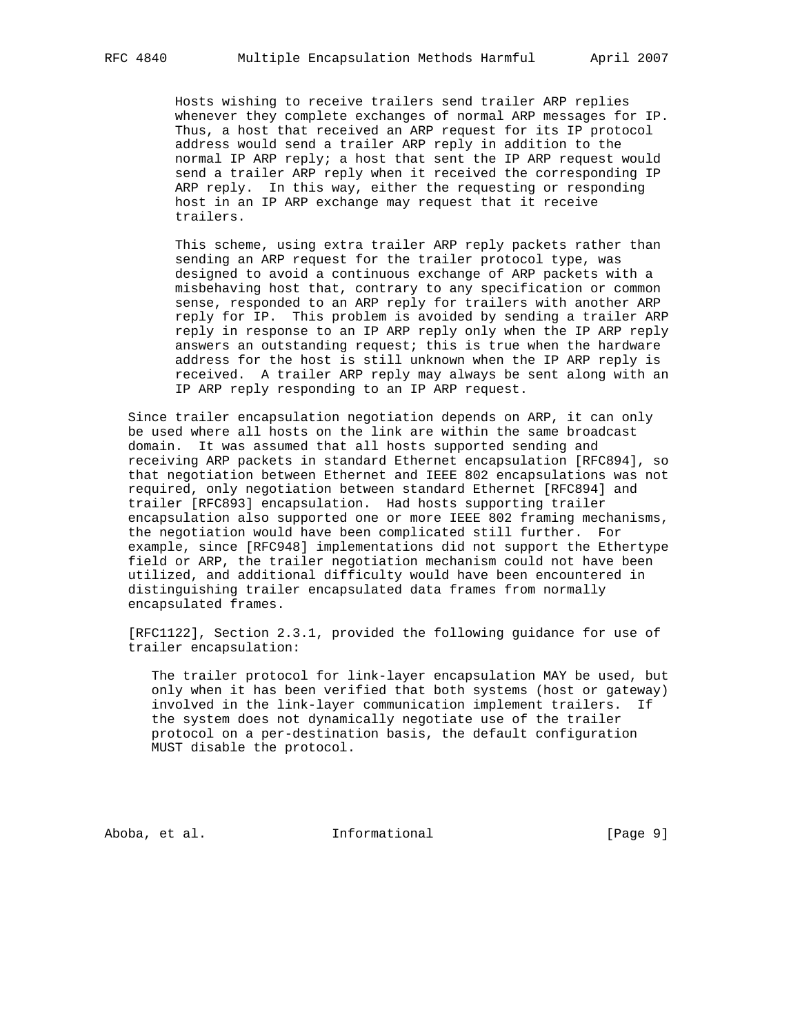Hosts wishing to receive trailers send trailer ARP replies whenever they complete exchanges of normal ARP messages for IP. Thus, a host that received an ARP request for its IP protocol address would send a trailer ARP reply in addition to the normal IP ARP reply; a host that sent the IP ARP request would send a trailer ARP reply when it received the corresponding IP ARP reply. In this way, either the requesting or responding host in an IP ARP exchange may request that it receive trailers.

 This scheme, using extra trailer ARP reply packets rather than sending an ARP request for the trailer protocol type, was designed to avoid a continuous exchange of ARP packets with a misbehaving host that, contrary to any specification or common sense, responded to an ARP reply for trailers with another ARP reply for IP. This problem is avoided by sending a trailer ARP reply in response to an IP ARP reply only when the IP ARP reply answers an outstanding request; this is true when the hardware address for the host is still unknown when the IP ARP reply is received. A trailer ARP reply may always be sent along with an IP ARP reply responding to an IP ARP request.

 Since trailer encapsulation negotiation depends on ARP, it can only be used where all hosts on the link are within the same broadcast domain. It was assumed that all hosts supported sending and receiving ARP packets in standard Ethernet encapsulation [RFC894], so that negotiation between Ethernet and IEEE 802 encapsulations was not required, only negotiation between standard Ethernet [RFC894] and trailer [RFC893] encapsulation. Had hosts supporting trailer encapsulation also supported one or more IEEE 802 framing mechanisms, the negotiation would have been complicated still further. For example, since [RFC948] implementations did not support the Ethertype field or ARP, the trailer negotiation mechanism could not have been utilized, and additional difficulty would have been encountered in distinguishing trailer encapsulated data frames from normally encapsulated frames.

 [RFC1122], Section 2.3.1, provided the following guidance for use of trailer encapsulation:

 The trailer protocol for link-layer encapsulation MAY be used, but only when it has been verified that both systems (host or gateway) involved in the link-layer communication implement trailers. If the system does not dynamically negotiate use of the trailer protocol on a per-destination basis, the default configuration MUST disable the protocol.

Aboba, et al. 10 Informational 1000 [Page 9]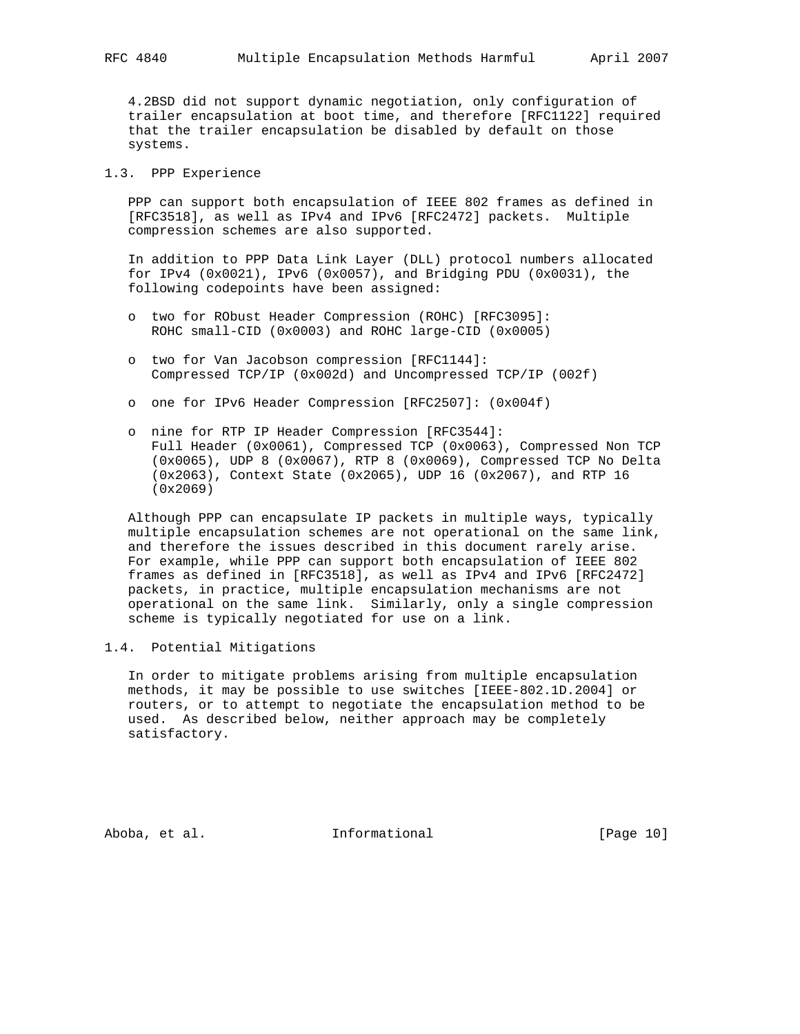4.2BSD did not support dynamic negotiation, only configuration of trailer encapsulation at boot time, and therefore [RFC1122] required that the trailer encapsulation be disabled by default on those systems.

### 1.3. PPP Experience

 PPP can support both encapsulation of IEEE 802 frames as defined in [RFC3518], as well as IPv4 and IPv6 [RFC2472] packets. Multiple compression schemes are also supported.

 In addition to PPP Data Link Layer (DLL) protocol numbers allocated for IPv4 (0x0021), IPv6 (0x0057), and Bridging PDU (0x0031), the following codepoints have been assigned:

- o two for RObust Header Compression (ROHC) [RFC3095]: ROHC small-CID (0x0003) and ROHC large-CID (0x0005)
- o two for Van Jacobson compression [RFC1144]: Compressed TCP/IP (0x002d) and Uncompressed TCP/IP (002f)
- o one for IPv6 Header Compression [RFC2507]: (0x004f)
- o nine for RTP IP Header Compression [RFC3544]: Full Header (0x0061), Compressed TCP (0x0063), Compressed Non TCP (0x0065), UDP 8 (0x0067), RTP 8 (0x0069), Compressed TCP No Delta (0x2063), Context State (0x2065), UDP 16 (0x2067), and RTP 16 (0x2069)

 Although PPP can encapsulate IP packets in multiple ways, typically multiple encapsulation schemes are not operational on the same link, and therefore the issues described in this document rarely arise. For example, while PPP can support both encapsulation of IEEE 802 frames as defined in [RFC3518], as well as IPv4 and IPv6 [RFC2472] packets, in practice, multiple encapsulation mechanisms are not operational on the same link. Similarly, only a single compression scheme is typically negotiated for use on a link.

# 1.4. Potential Mitigations

 In order to mitigate problems arising from multiple encapsulation methods, it may be possible to use switches [IEEE-802.1D.2004] or routers, or to attempt to negotiate the encapsulation method to be used. As described below, neither approach may be completely satisfactory.

Aboba, et al. 10 Informational 10 [Page 10]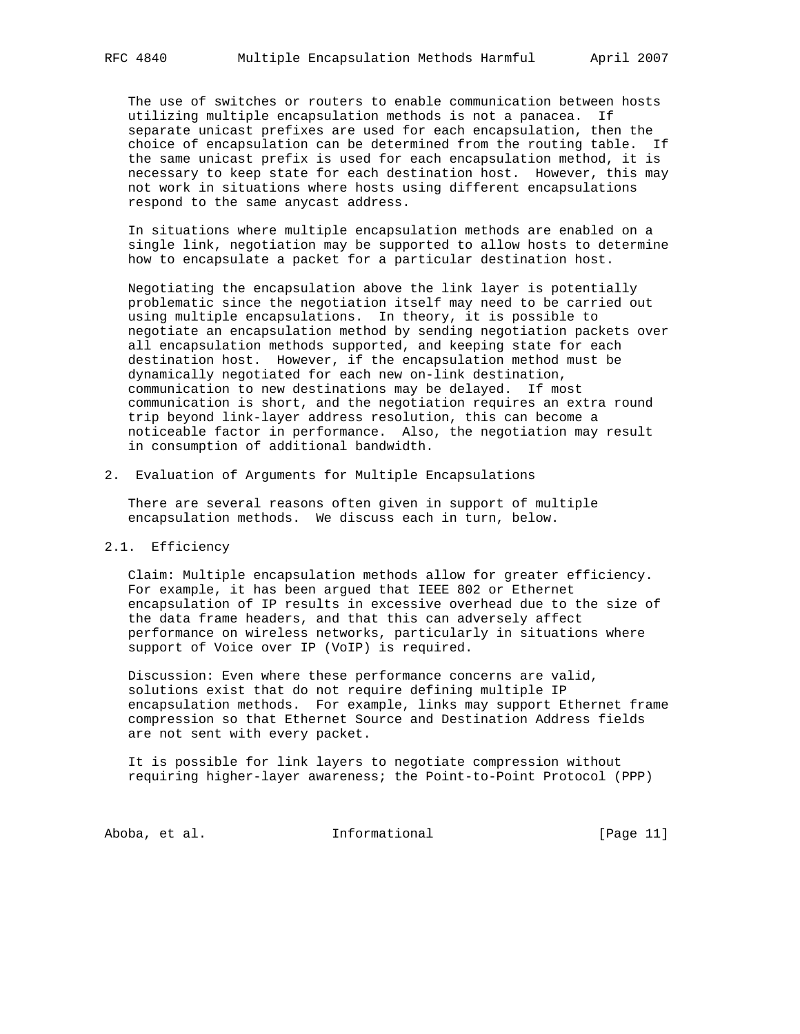The use of switches or routers to enable communication between hosts utilizing multiple encapsulation methods is not a panacea. If separate unicast prefixes are used for each encapsulation, then the choice of encapsulation can be determined from the routing table. If the same unicast prefix is used for each encapsulation method, it is necessary to keep state for each destination host. However, this may not work in situations where hosts using different encapsulations respond to the same anycast address.

 In situations where multiple encapsulation methods are enabled on a single link, negotiation may be supported to allow hosts to determine how to encapsulate a packet for a particular destination host.

 Negotiating the encapsulation above the link layer is potentially problematic since the negotiation itself may need to be carried out using multiple encapsulations. In theory, it is possible to negotiate an encapsulation method by sending negotiation packets over all encapsulation methods supported, and keeping state for each destination host. However, if the encapsulation method must be dynamically negotiated for each new on-link destination, communication to new destinations may be delayed. If most communication is short, and the negotiation requires an extra round trip beyond link-layer address resolution, this can become a noticeable factor in performance. Also, the negotiation may result in consumption of additional bandwidth.

2. Evaluation of Arguments for Multiple Encapsulations

 There are several reasons often given in support of multiple encapsulation methods. We discuss each in turn, below.

### 2.1. Efficiency

 Claim: Multiple encapsulation methods allow for greater efficiency. For example, it has been argued that IEEE 802 or Ethernet encapsulation of IP results in excessive overhead due to the size of the data frame headers, and that this can adversely affect performance on wireless networks, particularly in situations where support of Voice over IP (VoIP) is required.

 Discussion: Even where these performance concerns are valid, solutions exist that do not require defining multiple IP encapsulation methods. For example, links may support Ethernet frame compression so that Ethernet Source and Destination Address fields are not sent with every packet.

 It is possible for link layers to negotiate compression without requiring higher-layer awareness; the Point-to-Point Protocol (PPP)

Aboba, et al. 10. Informational 1. [Page 11]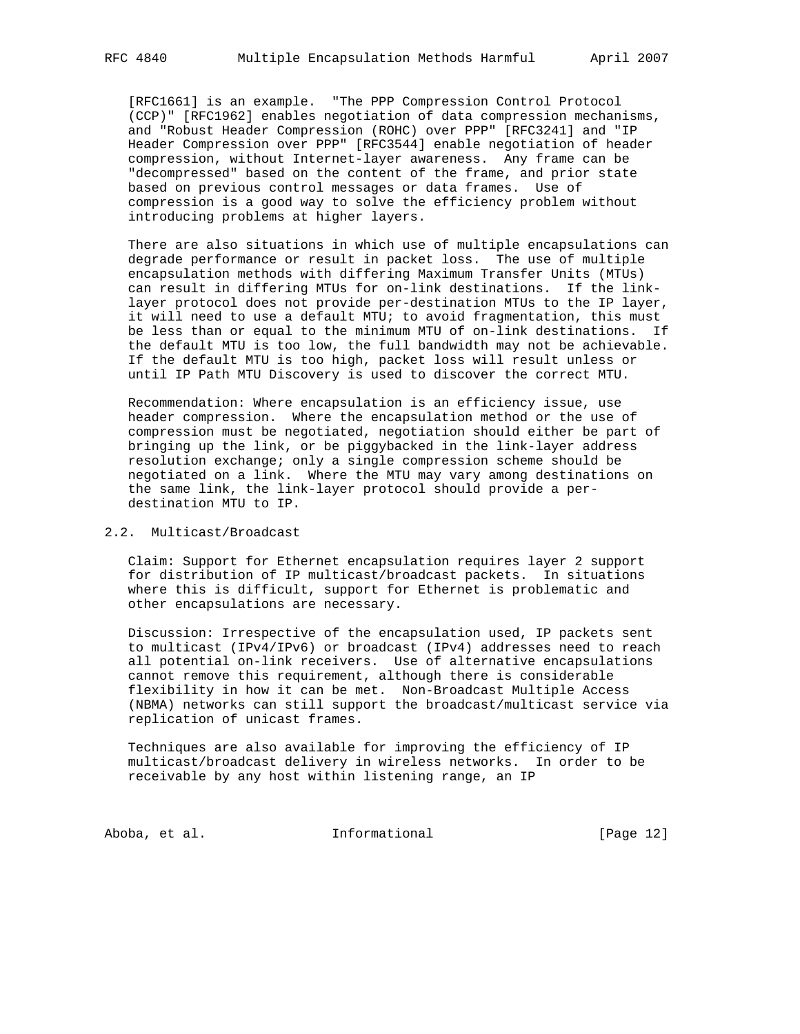[RFC1661] is an example. "The PPP Compression Control Protocol (CCP)" [RFC1962] enables negotiation of data compression mechanisms, and "Robust Header Compression (ROHC) over PPP" [RFC3241] and "IP Header Compression over PPP" [RFC3544] enable negotiation of header compression, without Internet-layer awareness. Any frame can be "decompressed" based on the content of the frame, and prior state based on previous control messages or data frames. Use of compression is a good way to solve the efficiency problem without introducing problems at higher layers.

 There are also situations in which use of multiple encapsulations can degrade performance or result in packet loss. The use of multiple encapsulation methods with differing Maximum Transfer Units (MTUs) can result in differing MTUs for on-link destinations. If the link layer protocol does not provide per-destination MTUs to the IP layer, it will need to use a default MTU; to avoid fragmentation, this must be less than or equal to the minimum MTU of on-link destinations. If the default MTU is too low, the full bandwidth may not be achievable. If the default MTU is too high, packet loss will result unless or until IP Path MTU Discovery is used to discover the correct MTU.

 Recommendation: Where encapsulation is an efficiency issue, use header compression. Where the encapsulation method or the use of compression must be negotiated, negotiation should either be part of bringing up the link, or be piggybacked in the link-layer address resolution exchange; only a single compression scheme should be negotiated on a link. Where the MTU may vary among destinations on the same link, the link-layer protocol should provide a per destination MTU to IP.

### 2.2. Multicast/Broadcast

 Claim: Support for Ethernet encapsulation requires layer 2 support for distribution of IP multicast/broadcast packets. In situations where this is difficult, support for Ethernet is problematic and other encapsulations are necessary.

 Discussion: Irrespective of the encapsulation used, IP packets sent to multicast (IPv4/IPv6) or broadcast (IPv4) addresses need to reach all potential on-link receivers. Use of alternative encapsulations cannot remove this requirement, although there is considerable flexibility in how it can be met. Non-Broadcast Multiple Access (NBMA) networks can still support the broadcast/multicast service via replication of unicast frames.

 Techniques are also available for improving the efficiency of IP multicast/broadcast delivery in wireless networks. In order to be receivable by any host within listening range, an IP

Aboba, et al. 10 Informational 1999 [Page 12]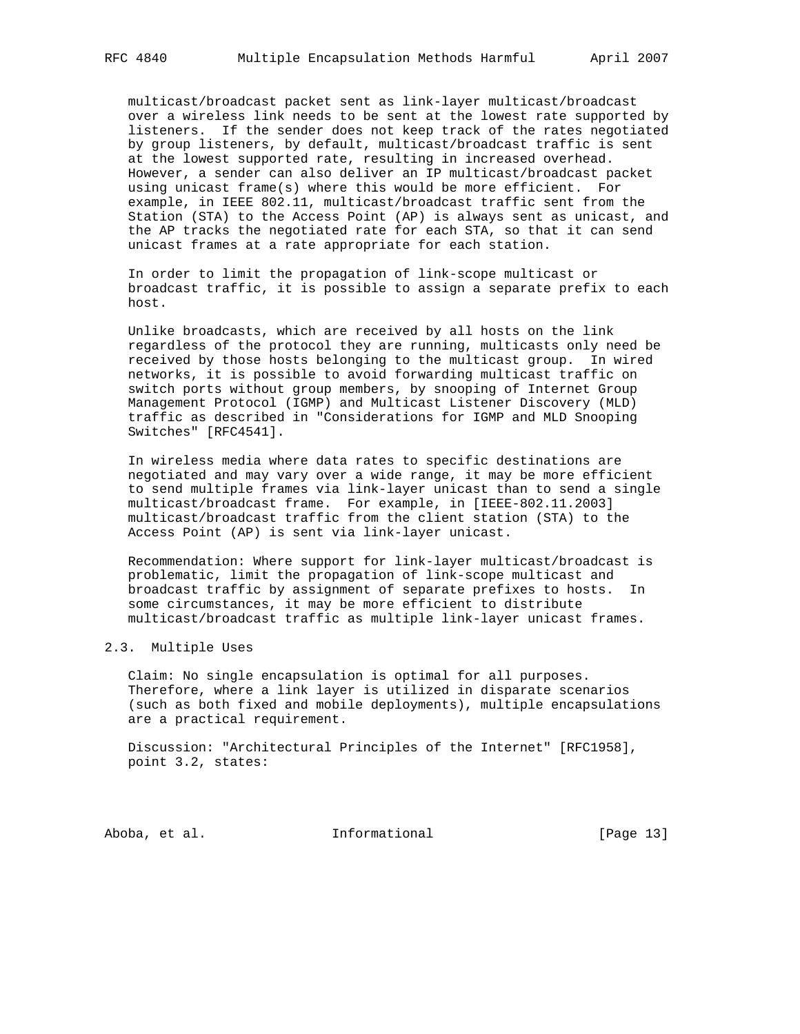multicast/broadcast packet sent as link-layer multicast/broadcast over a wireless link needs to be sent at the lowest rate supported by listeners. If the sender does not keep track of the rates negotiated by group listeners, by default, multicast/broadcast traffic is sent at the lowest supported rate, resulting in increased overhead. However, a sender can also deliver an IP multicast/broadcast packet using unicast frame(s) where this would be more efficient. For example, in IEEE 802.11, multicast/broadcast traffic sent from the Station (STA) to the Access Point (AP) is always sent as unicast, and the AP tracks the negotiated rate for each STA, so that it can send unicast frames at a rate appropriate for each station.

 In order to limit the propagation of link-scope multicast or broadcast traffic, it is possible to assign a separate prefix to each host.

 Unlike broadcasts, which are received by all hosts on the link regardless of the protocol they are running, multicasts only need be received by those hosts belonging to the multicast group. In wired networks, it is possible to avoid forwarding multicast traffic on switch ports without group members, by snooping of Internet Group Management Protocol (IGMP) and Multicast Listener Discovery (MLD) traffic as described in "Considerations for IGMP and MLD Snooping Switches" [RFC4541].

 In wireless media where data rates to specific destinations are negotiated and may vary over a wide range, it may be more efficient to send multiple frames via link-layer unicast than to send a single multicast/broadcast frame. For example, in [IEEE-802.11.2003] multicast/broadcast traffic from the client station (STA) to the Access Point (AP) is sent via link-layer unicast.

 Recommendation: Where support for link-layer multicast/broadcast is problematic, limit the propagation of link-scope multicast and broadcast traffic by assignment of separate prefixes to hosts. In some circumstances, it may be more efficient to distribute multicast/broadcast traffic as multiple link-layer unicast frames.

### 2.3. Multiple Uses

 Claim: No single encapsulation is optimal for all purposes. Therefore, where a link layer is utilized in disparate scenarios (such as both fixed and mobile deployments), multiple encapsulations are a practical requirement.

 Discussion: "Architectural Principles of the Internet" [RFC1958], point 3.2, states:

Aboba, et al. 10 Informational 1999 [Page 13]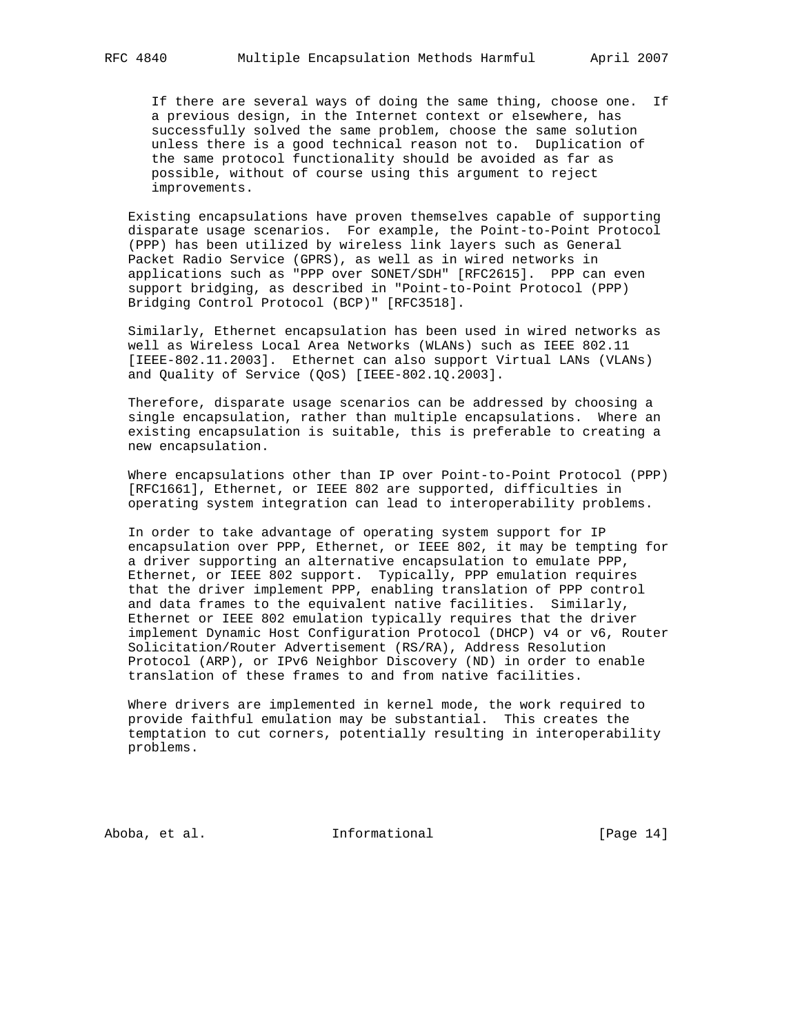If there are several ways of doing the same thing, choose one. If a previous design, in the Internet context or elsewhere, has successfully solved the same problem, choose the same solution unless there is a good technical reason not to. Duplication of the same protocol functionality should be avoided as far as possible, without of course using this argument to reject improvements.

 Existing encapsulations have proven themselves capable of supporting disparate usage scenarios. For example, the Point-to-Point Protocol (PPP) has been utilized by wireless link layers such as General Packet Radio Service (GPRS), as well as in wired networks in applications such as "PPP over SONET/SDH" [RFC2615]. PPP can even support bridging, as described in "Point-to-Point Protocol (PPP) Bridging Control Protocol (BCP)" [RFC3518].

 Similarly, Ethernet encapsulation has been used in wired networks as well as Wireless Local Area Networks (WLANs) such as IEEE 802.11 [IEEE-802.11.2003]. Ethernet can also support Virtual LANs (VLANs) and Quality of Service (QoS) [IEEE-802.1Q.2003].

 Therefore, disparate usage scenarios can be addressed by choosing a single encapsulation, rather than multiple encapsulations. Where an existing encapsulation is suitable, this is preferable to creating a new encapsulation.

 Where encapsulations other than IP over Point-to-Point Protocol (PPP) [RFC1661], Ethernet, or IEEE 802 are supported, difficulties in operating system integration can lead to interoperability problems.

 In order to take advantage of operating system support for IP encapsulation over PPP, Ethernet, or IEEE 802, it may be tempting for a driver supporting an alternative encapsulation to emulate PPP, Ethernet, or IEEE 802 support. Typically, PPP emulation requires that the driver implement PPP, enabling translation of PPP control and data frames to the equivalent native facilities. Similarly, Ethernet or IEEE 802 emulation typically requires that the driver implement Dynamic Host Configuration Protocol (DHCP) v4 or v6, Router Solicitation/Router Advertisement (RS/RA), Address Resolution Protocol (ARP), or IPv6 Neighbor Discovery (ND) in order to enable translation of these frames to and from native facilities.

 Where drivers are implemented in kernel mode, the work required to provide faithful emulation may be substantial. This creates the temptation to cut corners, potentially resulting in interoperability problems.

Aboba, et al. 10 Informational 1999 [Page 14]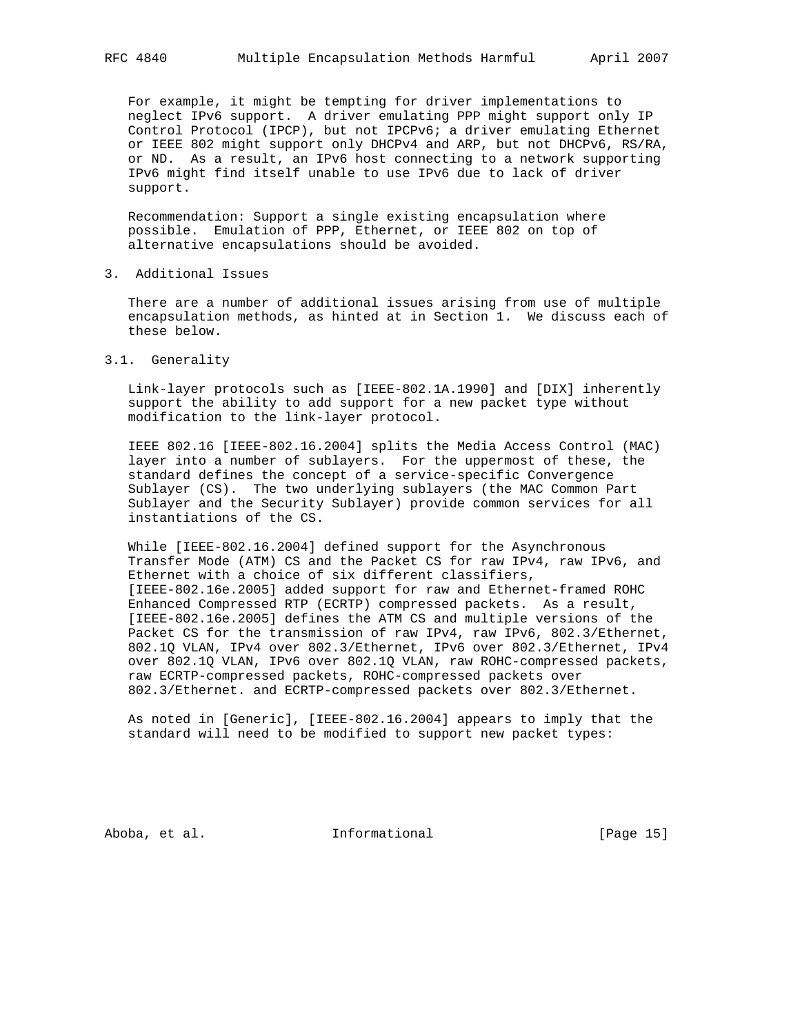For example, it might be tempting for driver implementations to neglect IPv6 support. A driver emulating PPP might support only IP Control Protocol (IPCP), but not IPCPv6; a driver emulating Ethernet or IEEE 802 might support only DHCPv4 and ARP, but not DHCPv6, RS/RA, or ND. As a result, an IPv6 host connecting to a network supporting IPv6 might find itself unable to use IPv6 due to lack of driver support.

 Recommendation: Support a single existing encapsulation where possible. Emulation of PPP, Ethernet, or IEEE 802 on top of alternative encapsulations should be avoided.

3. Additional Issues

 There are a number of additional issues arising from use of multiple encapsulation methods, as hinted at in Section 1. We discuss each of these below.

3.1. Generality

 Link-layer protocols such as [IEEE-802.1A.1990] and [DIX] inherently support the ability to add support for a new packet type without modification to the link-layer protocol.

 IEEE 802.16 [IEEE-802.16.2004] splits the Media Access Control (MAC) layer into a number of sublayers. For the uppermost of these, the standard defines the concept of a service-specific Convergence Sublayer (CS). The two underlying sublayers (the MAC Common Part Sublayer and the Security Sublayer) provide common services for all instantiations of the CS.

While [IEEE-802.16.2004] defined support for the Asynchronous Transfer Mode (ATM) CS and the Packet CS for raw IPv4, raw IPv6, and Ethernet with a choice of six different classifiers, [IEEE-802.16e.2005] added support for raw and Ethernet-framed ROHC Enhanced Compressed RTP (ECRTP) compressed packets. As a result, [IEEE-802.16e.2005] defines the ATM CS and multiple versions of the Packet CS for the transmission of raw IPv4, raw IPv6, 802.3/Ethernet, 802.1Q VLAN, IPv4 over 802.3/Ethernet, IPv6 over 802.3/Ethernet, IPv4 over 802.1Q VLAN, IPv6 over 802.1Q VLAN, raw ROHC-compressed packets, raw ECRTP-compressed packets, ROHC-compressed packets over 802.3/Ethernet. and ECRTP-compressed packets over 802.3/Ethernet.

 As noted in [Generic], [IEEE-802.16.2004] appears to imply that the standard will need to be modified to support new packet types:

Aboba, et al. 10 Informational 1999 [Page 15]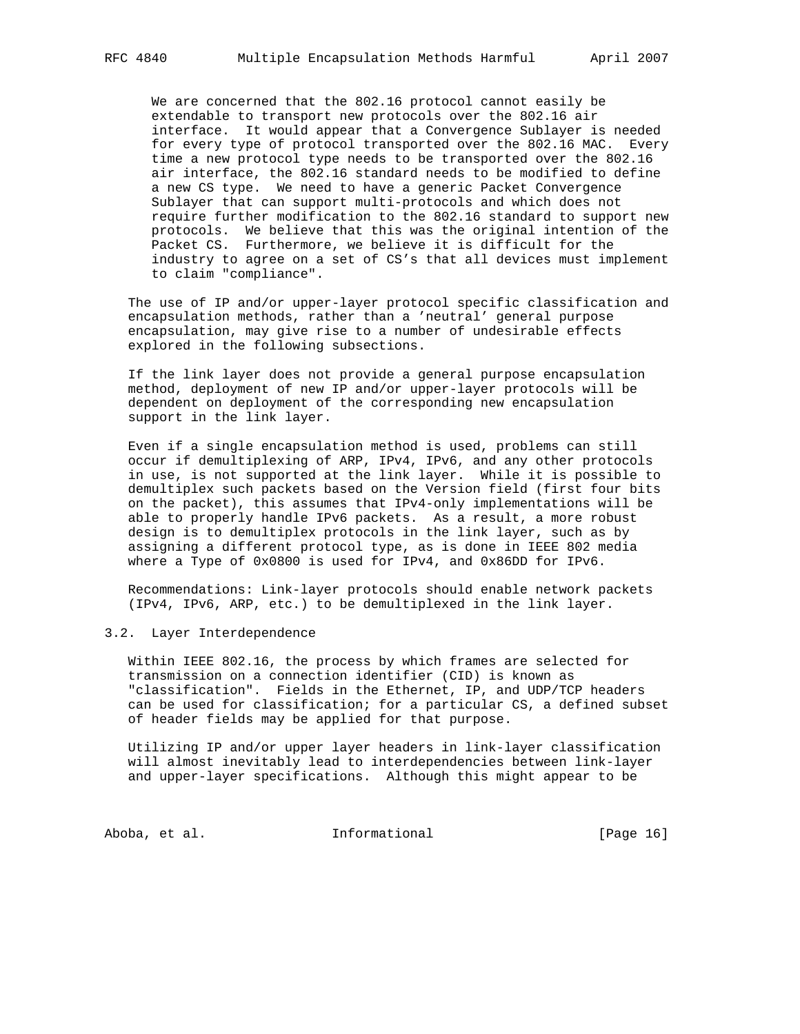We are concerned that the 802.16 protocol cannot easily be extendable to transport new protocols over the 802.16 air interface. It would appear that a Convergence Sublayer is needed for every type of protocol transported over the 802.16 MAC. Every time a new protocol type needs to be transported over the 802.16 air interface, the 802.16 standard needs to be modified to define a new CS type. We need to have a generic Packet Convergence Sublayer that can support multi-protocols and which does not require further modification to the 802.16 standard to support new protocols. We believe that this was the original intention of the Packet CS. Furthermore, we believe it is difficult for the industry to agree on a set of CS's that all devices must implement to claim "compliance".

 The use of IP and/or upper-layer protocol specific classification and encapsulation methods, rather than a 'neutral' general purpose encapsulation, may give rise to a number of undesirable effects explored in the following subsections.

 If the link layer does not provide a general purpose encapsulation method, deployment of new IP and/or upper-layer protocols will be dependent on deployment of the corresponding new encapsulation support in the link layer.

 Even if a single encapsulation method is used, problems can still occur if demultiplexing of ARP, IPv4, IPv6, and any other protocols in use, is not supported at the link layer. While it is possible to demultiplex such packets based on the Version field (first four bits on the packet), this assumes that IPv4-only implementations will be able to properly handle IPv6 packets. As a result, a more robust design is to demultiplex protocols in the link layer, such as by assigning a different protocol type, as is done in IEEE 802 media where a Type of 0x0800 is used for IPv4, and 0x86DD for IPv6.

 Recommendations: Link-layer protocols should enable network packets (IPv4, IPv6, ARP, etc.) to be demultiplexed in the link layer.

### 3.2. Layer Interdependence

 Within IEEE 802.16, the process by which frames are selected for transmission on a connection identifier (CID) is known as "classification". Fields in the Ethernet, IP, and UDP/TCP headers can be used for classification; for a particular CS, a defined subset of header fields may be applied for that purpose.

 Utilizing IP and/or upper layer headers in link-layer classification will almost inevitably lead to interdependencies between link-layer and upper-layer specifications. Although this might appear to be

Aboba, et al. 10 1nformational 1999 [Page 16]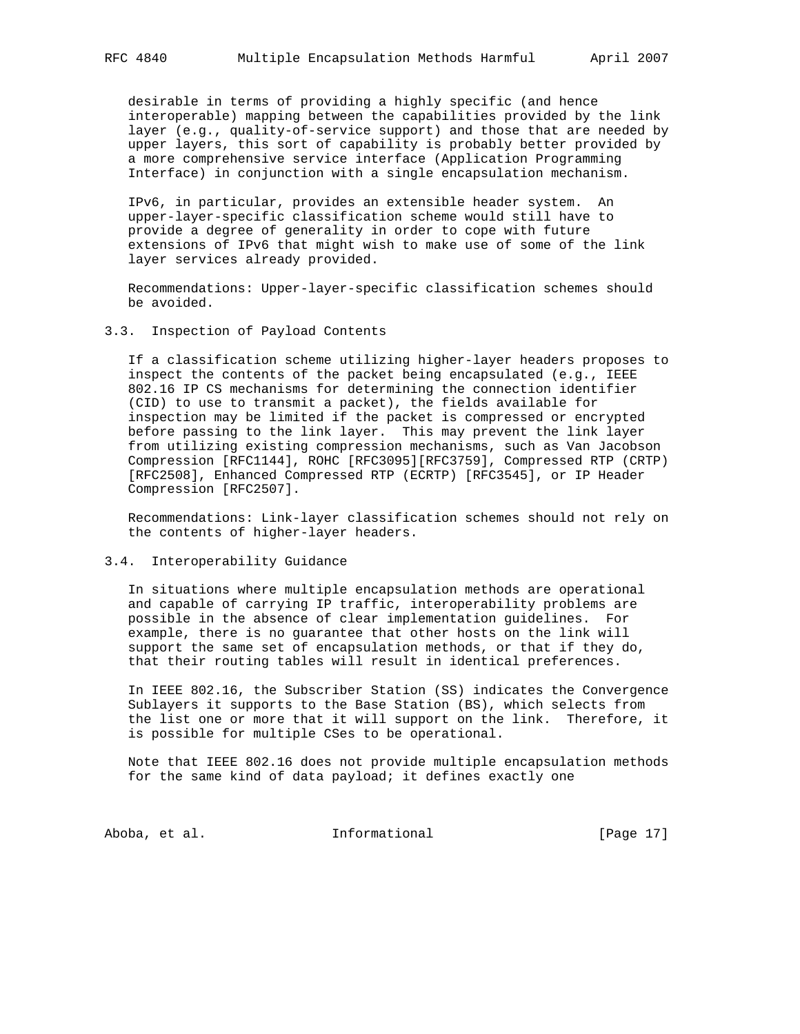desirable in terms of providing a highly specific (and hence interoperable) mapping between the capabilities provided by the link layer (e.g., quality-of-service support) and those that are needed by upper layers, this sort of capability is probably better provided by a more comprehensive service interface (Application Programming Interface) in conjunction with a single encapsulation mechanism.

 IPv6, in particular, provides an extensible header system. An upper-layer-specific classification scheme would still have to provide a degree of generality in order to cope with future extensions of IPv6 that might wish to make use of some of the link layer services already provided.

 Recommendations: Upper-layer-specific classification schemes should be avoided.

#### 3.3. Inspection of Payload Contents

 If a classification scheme utilizing higher-layer headers proposes to inspect the contents of the packet being encapsulated (e.g., IEEE 802.16 IP CS mechanisms for determining the connection identifier (CID) to use to transmit a packet), the fields available for inspection may be limited if the packet is compressed or encrypted before passing to the link layer. This may prevent the link layer from utilizing existing compression mechanisms, such as Van Jacobson Compression [RFC1144], ROHC [RFC3095][RFC3759], Compressed RTP (CRTP) [RFC2508], Enhanced Compressed RTP (ECRTP) [RFC3545], or IP Header Compression [RFC2507].

 Recommendations: Link-layer classification schemes should not rely on the contents of higher-layer headers.

#### 3.4. Interoperability Guidance

 In situations where multiple encapsulation methods are operational and capable of carrying IP traffic, interoperability problems are possible in the absence of clear implementation guidelines. For example, there is no guarantee that other hosts on the link will support the same set of encapsulation methods, or that if they do, that their routing tables will result in identical preferences.

 In IEEE 802.16, the Subscriber Station (SS) indicates the Convergence Sublayers it supports to the Base Station (BS), which selects from the list one or more that it will support on the link. Therefore, it is possible for multiple CSes to be operational.

 Note that IEEE 802.16 does not provide multiple encapsulation methods for the same kind of data payload; it defines exactly one

Aboba, et al. 10. Informational 1. [Page 17]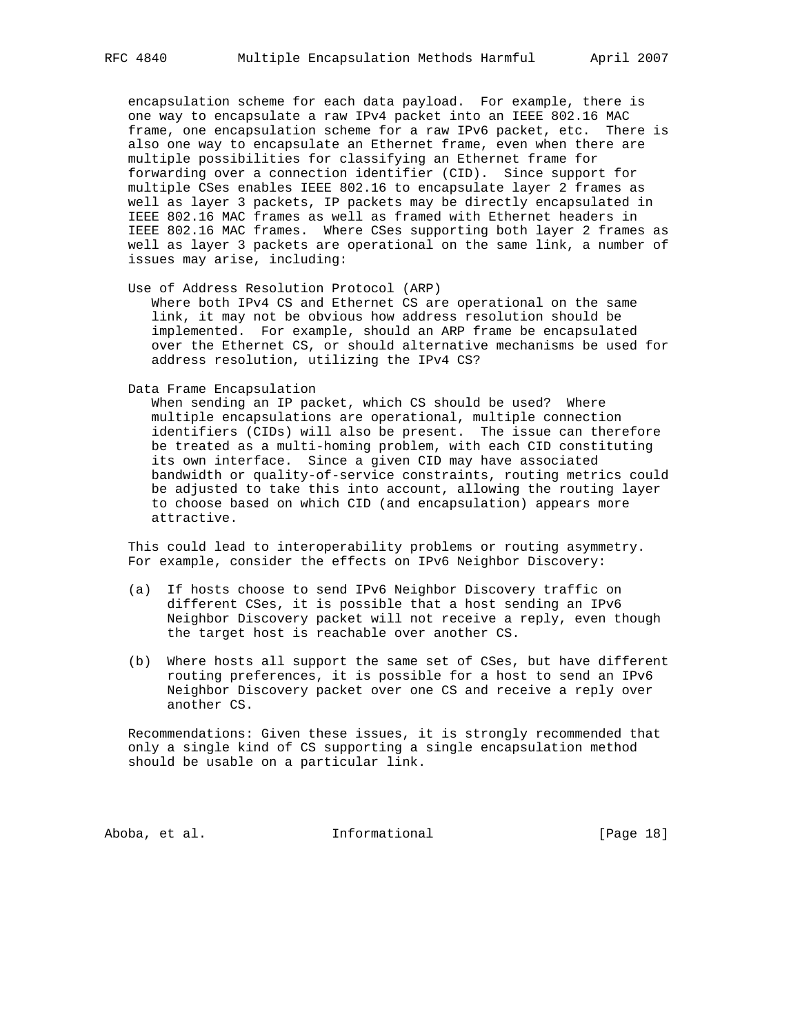encapsulation scheme for each data payload. For example, there is one way to encapsulate a raw IPv4 packet into an IEEE 802.16 MAC frame, one encapsulation scheme for a raw IPv6 packet, etc. There is also one way to encapsulate an Ethernet frame, even when there are multiple possibilities for classifying an Ethernet frame for forwarding over a connection identifier (CID). Since support for multiple CSes enables IEEE 802.16 to encapsulate layer 2 frames as well as layer 3 packets, IP packets may be directly encapsulated in IEEE 802.16 MAC frames as well as framed with Ethernet headers in IEEE 802.16 MAC frames. Where CSes supporting both layer 2 frames as well as layer 3 packets are operational on the same link, a number of issues may arise, including:

Use of Address Resolution Protocol (ARP)

 Where both IPv4 CS and Ethernet CS are operational on the same link, it may not be obvious how address resolution should be implemented. For example, should an ARP frame be encapsulated over the Ethernet CS, or should alternative mechanisms be used for address resolution, utilizing the IPv4 CS?

Data Frame Encapsulation

 When sending an IP packet, which CS should be used? Where multiple encapsulations are operational, multiple connection identifiers (CIDs) will also be present. The issue can therefore be treated as a multi-homing problem, with each CID constituting its own interface. Since a given CID may have associated bandwidth or quality-of-service constraints, routing metrics could be adjusted to take this into account, allowing the routing layer to choose based on which CID (and encapsulation) appears more attractive.

 This could lead to interoperability problems or routing asymmetry. For example, consider the effects on IPv6 Neighbor Discovery:

- (a) If hosts choose to send IPv6 Neighbor Discovery traffic on different CSes, it is possible that a host sending an IPv6 Neighbor Discovery packet will not receive a reply, even though the target host is reachable over another CS.
- (b) Where hosts all support the same set of CSes, but have different routing preferences, it is possible for a host to send an IPv6 Neighbor Discovery packet over one CS and receive a reply over another CS.

 Recommendations: Given these issues, it is strongly recommended that only a single kind of CS supporting a single encapsulation method should be usable on a particular link.

Aboba, et al. 10 Informational 1999 [Page 18]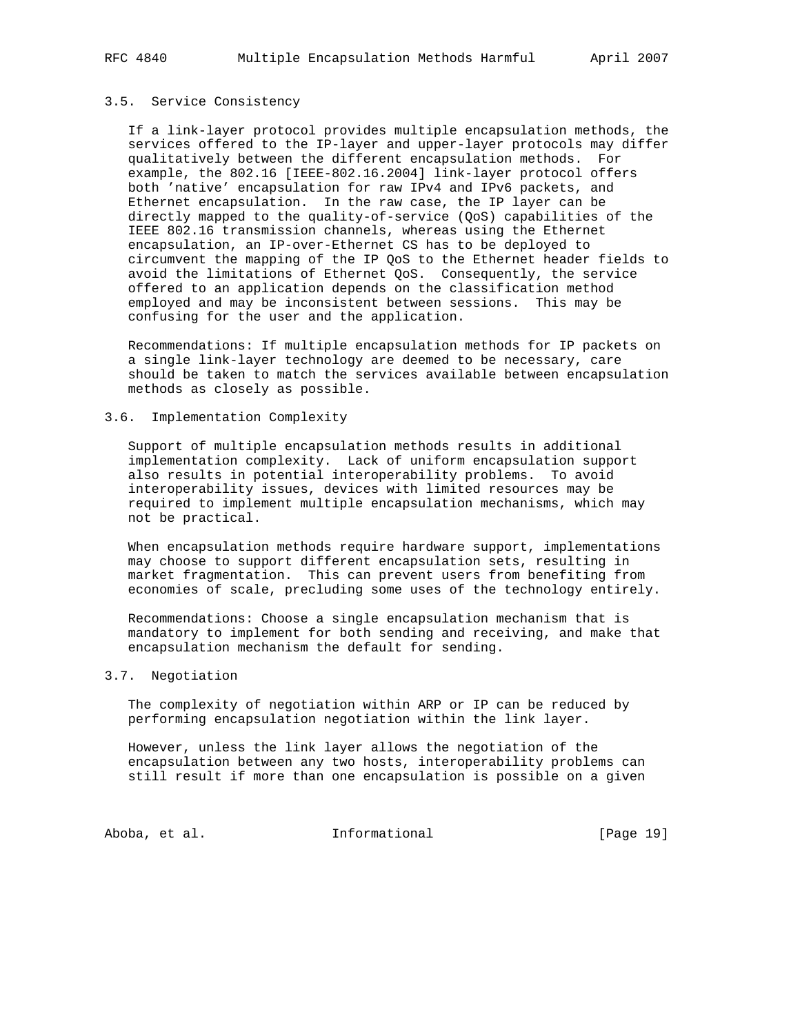#### 3.5. Service Consistency

 If a link-layer protocol provides multiple encapsulation methods, the services offered to the IP-layer and upper-layer protocols may differ qualitatively between the different encapsulation methods. For example, the 802.16 [IEEE-802.16.2004] link-layer protocol offers both 'native' encapsulation for raw IPv4 and IPv6 packets, and Ethernet encapsulation. In the raw case, the IP layer can be directly mapped to the quality-of-service (QoS) capabilities of the IEEE 802.16 transmission channels, whereas using the Ethernet encapsulation, an IP-over-Ethernet CS has to be deployed to circumvent the mapping of the IP QoS to the Ethernet header fields to avoid the limitations of Ethernet QoS. Consequently, the service offered to an application depends on the classification method employed and may be inconsistent between sessions. This may be confusing for the user and the application.

 Recommendations: If multiple encapsulation methods for IP packets on a single link-layer technology are deemed to be necessary, care should be taken to match the services available between encapsulation methods as closely as possible.

### 3.6. Implementation Complexity

 Support of multiple encapsulation methods results in additional implementation complexity. Lack of uniform encapsulation support also results in potential interoperability problems. To avoid interoperability issues, devices with limited resources may be required to implement multiple encapsulation mechanisms, which may not be practical.

 When encapsulation methods require hardware support, implementations may choose to support different encapsulation sets, resulting in market fragmentation. This can prevent users from benefiting from economies of scale, precluding some uses of the technology entirely.

 Recommendations: Choose a single encapsulation mechanism that is mandatory to implement for both sending and receiving, and make that encapsulation mechanism the default for sending.

### 3.7. Negotiation

 The complexity of negotiation within ARP or IP can be reduced by performing encapsulation negotiation within the link layer.

 However, unless the link layer allows the negotiation of the encapsulation between any two hosts, interoperability problems can still result if more than one encapsulation is possible on a given

Aboba, et al. 10 Informational 19 [Page 19]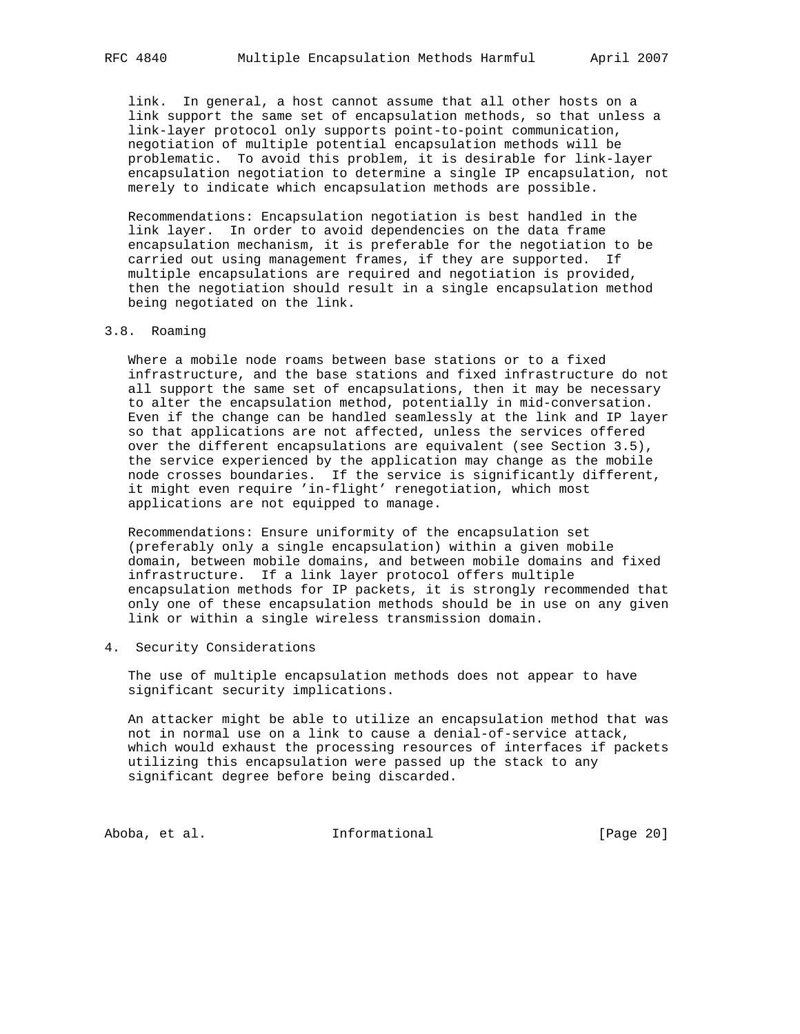link. In general, a host cannot assume that all other hosts on a link support the same set of encapsulation methods, so that unless a link-layer protocol only supports point-to-point communication, negotiation of multiple potential encapsulation methods will be problematic. To avoid this problem, it is desirable for link-layer encapsulation negotiation to determine a single IP encapsulation, not merely to indicate which encapsulation methods are possible.

 Recommendations: Encapsulation negotiation is best handled in the link layer. In order to avoid dependencies on the data frame encapsulation mechanism, it is preferable for the negotiation to be carried out using management frames, if they are supported. If multiple encapsulations are required and negotiation is provided, then the negotiation should result in a single encapsulation method being negotiated on the link.

### 3.8. Roaming

 Where a mobile node roams between base stations or to a fixed infrastructure, and the base stations and fixed infrastructure do not all support the same set of encapsulations, then it may be necessary to alter the encapsulation method, potentially in mid-conversation. Even if the change can be handled seamlessly at the link and IP layer so that applications are not affected, unless the services offered over the different encapsulations are equivalent (see Section 3.5), the service experienced by the application may change as the mobile node crosses boundaries. If the service is significantly different, it might even require 'in-flight' renegotiation, which most applications are not equipped to manage.

 Recommendations: Ensure uniformity of the encapsulation set (preferably only a single encapsulation) within a given mobile domain, between mobile domains, and between mobile domains and fixed infrastructure. If a link layer protocol offers multiple encapsulation methods for IP packets, it is strongly recommended that only one of these encapsulation methods should be in use on any given link or within a single wireless transmission domain.

4. Security Considerations

 The use of multiple encapsulation methods does not appear to have significant security implications.

 An attacker might be able to utilize an encapsulation method that was not in normal use on a link to cause a denial-of-service attack, which would exhaust the processing resources of interfaces if packets utilizing this encapsulation were passed up the stack to any significant degree before being discarded.

Aboba, et al. Informational [Page 20]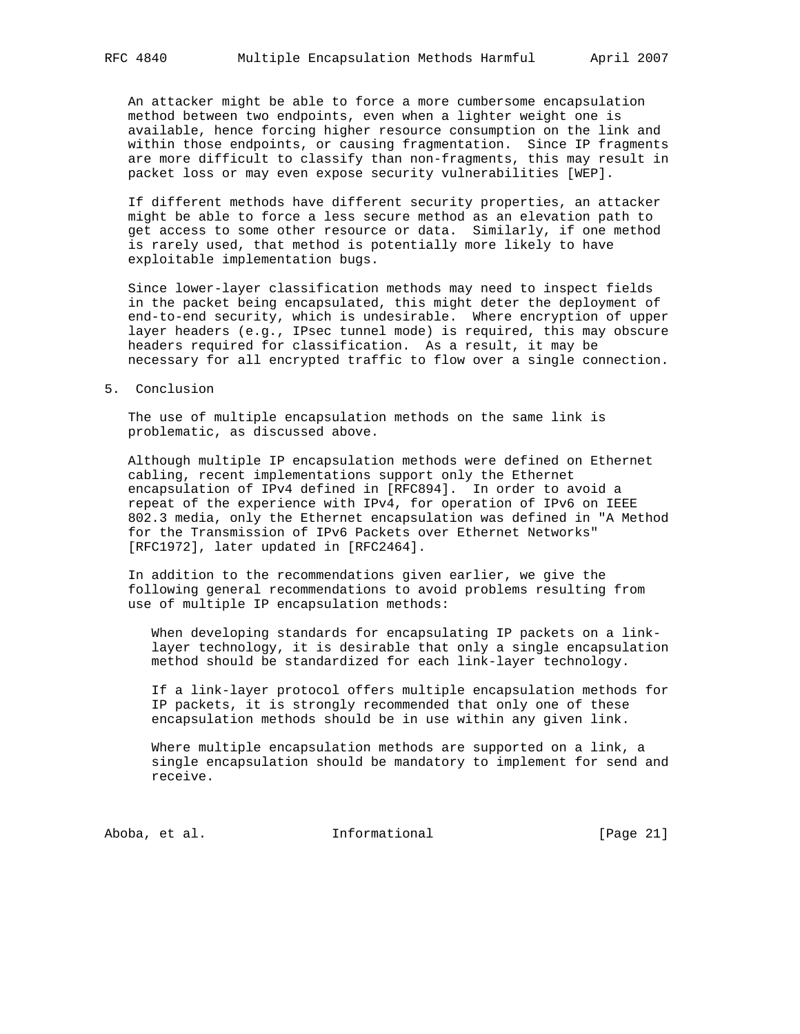An attacker might be able to force a more cumbersome encapsulation method between two endpoints, even when a lighter weight one is available, hence forcing higher resource consumption on the link and within those endpoints, or causing fragmentation. Since IP fragments are more difficult to classify than non-fragments, this may result in packet loss or may even expose security vulnerabilities [WEP].

 If different methods have different security properties, an attacker might be able to force a less secure method as an elevation path to get access to some other resource or data. Similarly, if one method is rarely used, that method is potentially more likely to have exploitable implementation bugs.

 Since lower-layer classification methods may need to inspect fields in the packet being encapsulated, this might deter the deployment of end-to-end security, which is undesirable. Where encryption of upper layer headers (e.g., IPsec tunnel mode) is required, this may obscure headers required for classification. As a result, it may be necessary for all encrypted traffic to flow over a single connection.

#### 5. Conclusion

 The use of multiple encapsulation methods on the same link is problematic, as discussed above.

 Although multiple IP encapsulation methods were defined on Ethernet cabling, recent implementations support only the Ethernet encapsulation of IPv4 defined in [RFC894]. In order to avoid a repeat of the experience with IPv4, for operation of IPv6 on IEEE 802.3 media, only the Ethernet encapsulation was defined in "A Method for the Transmission of IPv6 Packets over Ethernet Networks" [RFC1972], later updated in [RFC2464].

 In addition to the recommendations given earlier, we give the following general recommendations to avoid problems resulting from use of multiple IP encapsulation methods:

 When developing standards for encapsulating IP packets on a link layer technology, it is desirable that only a single encapsulation method should be standardized for each link-layer technology.

 If a link-layer protocol offers multiple encapsulation methods for IP packets, it is strongly recommended that only one of these encapsulation methods should be in use within any given link.

 Where multiple encapsulation methods are supported on a link, a single encapsulation should be mandatory to implement for send and receive.

Aboba, et al. Informational [Page 21]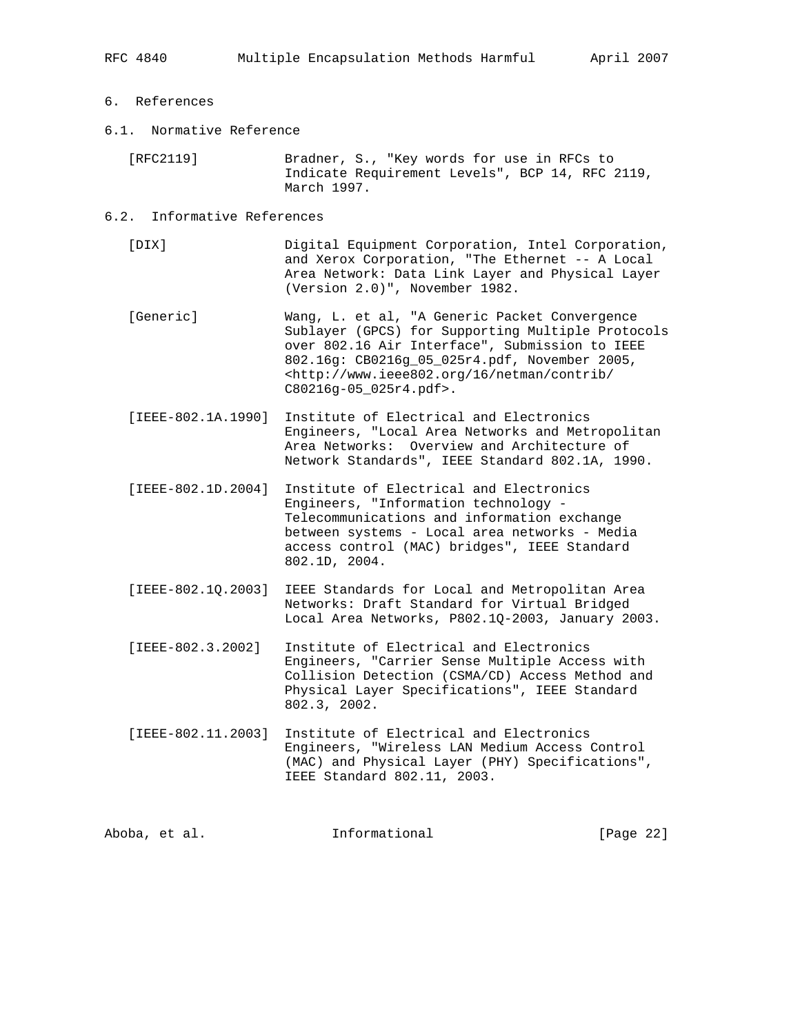# 6. References

6.1. Normative Reference

 [RFC2119] Bradner, S., "Key words for use in RFCs to Indicate Requirement Levels", BCP 14, RFC 2119, March 1997.

#### 6.2. Informative References

 [DIX] Digital Equipment Corporation, Intel Corporation, and Xerox Corporation, "The Ethernet -- A Local Area Network: Data Link Layer and Physical Layer (Version 2.0)", November 1982.

 [Generic] Wang, L. et al, "A Generic Packet Convergence Sublayer (GPCS) for Supporting Multiple Protocols over 802.16 Air Interface", Submission to IEEE 802.16g: CB0216g\_05\_025r4.pdf, November 2005, <http://www.ieee802.org/16/netman/contrib/ C80216g-05\_025r4.pdf>.

- [IEEE-802.1A.1990] Institute of Electrical and Electronics Engineers, "Local Area Networks and Metropolitan Area Networks: Overview and Architecture of Network Standards", IEEE Standard 802.1A, 1990.
- [IEEE-802.1D.2004] Institute of Electrical and Electronics Engineers, "Information technology - Telecommunications and information exchange between systems - Local area networks - Media access control (MAC) bridges", IEEE Standard 802.1D, 2004.
- [IEEE-802.1Q.2003] IEEE Standards for Local and Metropolitan Area Networks: Draft Standard for Virtual Bridged Local Area Networks, P802.1Q-2003, January 2003.
- [IEEE-802.3.2002] Institute of Electrical and Electronics Engineers, "Carrier Sense Multiple Access with Collision Detection (CSMA/CD) Access Method and Physical Layer Specifications", IEEE Standard 802.3, 2002.
- [IEEE-802.11.2003] Institute of Electrical and Electronics Engineers, "Wireless LAN Medium Access Control (MAC) and Physical Layer (PHY) Specifications", IEEE Standard 802.11, 2003.

| Aboba, et al. | Informational | [Page 22] |  |
|---------------|---------------|-----------|--|
|               |               |           |  |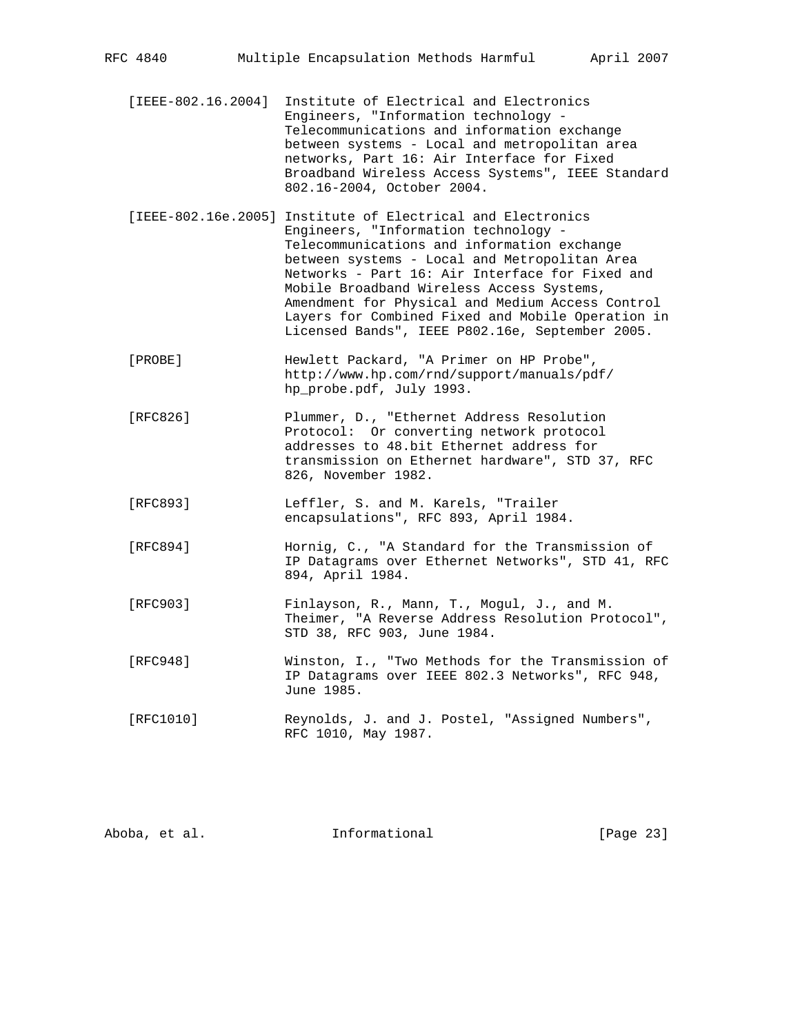- [IEEE-802.16.2004] Institute of Electrical and Electronics Engineers, "Information technology - Telecommunications and information exchange between systems - Local and metropolitan area networks, Part 16: Air Interface for Fixed Broadband Wireless Access Systems", IEEE Standard 802.16-2004, October 2004.
- [IEEE-802.16e.2005] Institute of Electrical and Electronics Engineers, "Information technology - Telecommunications and information exchange between systems - Local and Metropolitan Area Networks - Part 16: Air Interface for Fixed and Mobile Broadband Wireless Access Systems, Amendment for Physical and Medium Access Control Layers for Combined Fixed and Mobile Operation in Licensed Bands", IEEE P802.16e, September 2005.
- [PROBE] Hewlett Packard, "A Primer on HP Probe", http://www.hp.com/rnd/support/manuals/pdf/ hp\_probe.pdf, July 1993.
- [RFC826] Plummer, D., "Ethernet Address Resolution Protocol: Or converting network protocol addresses to 48.bit Ethernet address for transmission on Ethernet hardware", STD 37, RFC 826, November 1982.
- [RFC893] Leffler, S. and M. Karels, "Trailer encapsulations", RFC 893, April 1984.
- [RFC894] Hornig, C., "A Standard for the Transmission of IP Datagrams over Ethernet Networks", STD 41, RFC 894, April 1984.
- [RFC903] Finlayson, R., Mann, T., Mogul, J., and M. Theimer, "A Reverse Address Resolution Protocol", STD 38, RFC 903, June 1984.
- [RFC948] Winston, I., "Two Methods for the Transmission of IP Datagrams over IEEE 802.3 Networks", RFC 948, June 1985.
- [RFC1010] Reynolds, J. and J. Postel, "Assigned Numbers", RFC 1010, May 1987.

| Informational<br>Aboba, et al. | [Page 23] |  |  |  |
|--------------------------------|-----------|--|--|--|
|--------------------------------|-----------|--|--|--|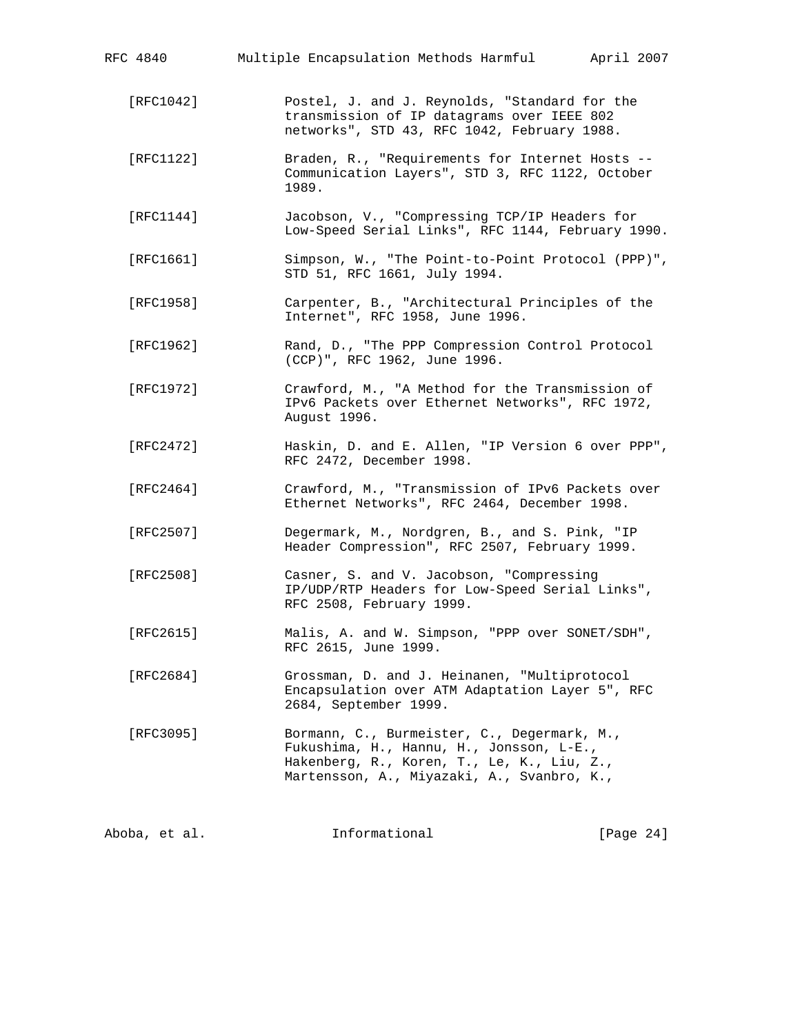| RFC 4840      | Multiple Encapsulation Methods Harmful April 2007                                                                                                                                   |              |
|---------------|-------------------------------------------------------------------------------------------------------------------------------------------------------------------------------------|--------------|
| [RFC1042]     | Postel, J. and J. Reynolds, "Standard for the<br>transmission of IP datagrams over IEEE 802<br>networks", STD 43, RFC 1042, February 1988.                                          |              |
| [RFC1122]     | Braden, R., "Requirements for Internet Hosts --<br>Communication Layers", STD 3, RFC 1122, October<br>1989.                                                                         |              |
| [RFC1144]     | Jacobson, V., "Compressing TCP/IP Headers for<br>Low-Speed Serial Links", RFC 1144, February 1990.                                                                                  |              |
| [RFC1661]     | Simpson, W., "The Point-to-Point Protocol (PPP)",<br>STD 51, RFC 1661, July 1994.                                                                                                   |              |
| [RFC1958]     | Carpenter, B., "Architectural Principles of the<br>Internet", RFC 1958, June 1996.                                                                                                  |              |
| [RFC1962]     | Rand, D., "The PPP Compression Control Protocol<br>(CCP)", RFC 1962, June 1996.                                                                                                     |              |
| [RFC1972]     | Crawford, M., "A Method for the Transmission of<br>IPv6 Packets over Ethernet Networks", RFC 1972,<br>August 1996.                                                                  |              |
| [RFC2472]     | Haskin, D. and E. Allen, "IP Version 6 over PPP",<br>RFC 2472, December 1998.                                                                                                       |              |
| [RFC2464]     | Crawford, M., "Transmission of IPv6 Packets over<br>Ethernet Networks", RFC 2464, December 1998.                                                                                    |              |
| [REC2507]     | Degermark, M., Nordgren, B., and S. Pink, "IP<br>Header Compression", RFC 2507, February 1999.                                                                                      |              |
| [RFC2508]     | Casner, S. and V. Jacobson, "Compressing<br>IP/UDP/RTP Headers for Low-Speed Serial Links",<br>RFC 2508, February 1999.                                                             |              |
| [RFC2615]     | Malis, A. and W. Simpson, "PPP over SONET/SDH"<br>RFC 2615, June 1999.                                                                                                              |              |
| [RFC2684]     | Grossman, D. and J. Heinanen, "Multiprotocol<br>Encapsulation over ATM Adaptation Layer 5", RFC<br>2684, September 1999.                                                            |              |
| [RFC3095]     | Bormann, C., Burmeister, C., Degermark, M.,<br>Fukushima, H., Hannu, H., Jonsson, L-E.,<br>Hakenberg, R., Koren, T., Le, K., Liu, Z.,<br>Martensson, A., Miyazaki, A., Svanbro, K., |              |
| Aboba, et al. | Informational                                                                                                                                                                       | [Page $24$ ] |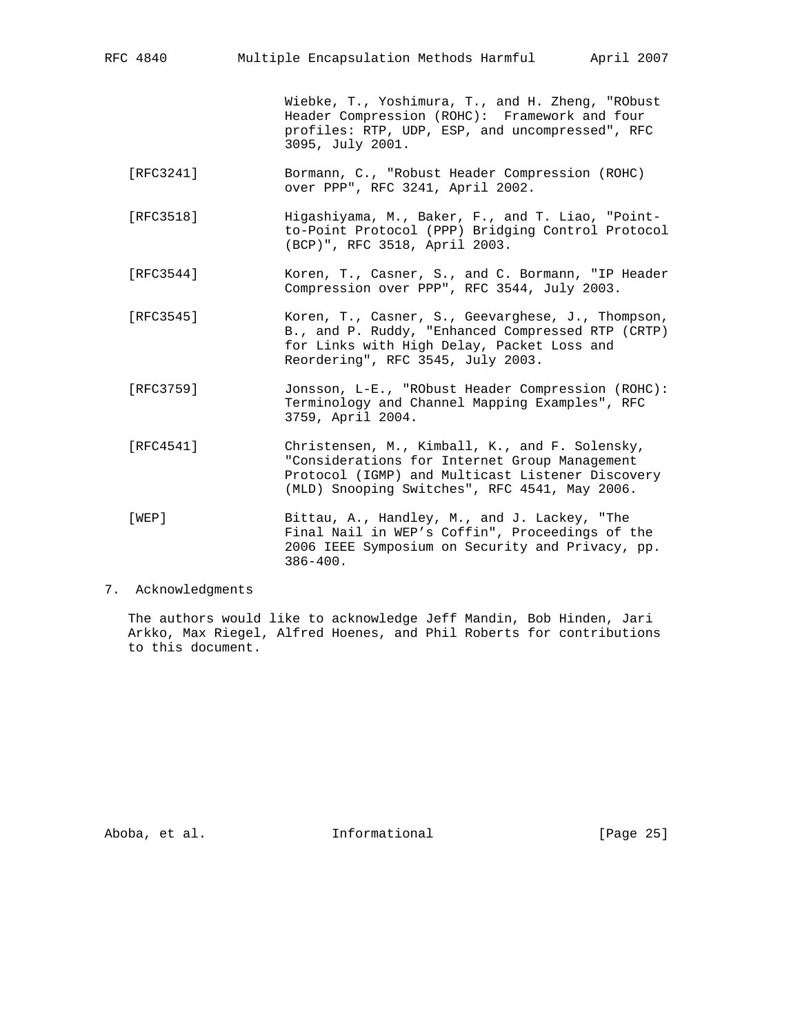RFC 4840 Multiple Encapsulation Methods Harmful April 2007

 Wiebke, T., Yoshimura, T., and H. Zheng, "RObust Header Compression (ROHC): Framework and four profiles: RTP, UDP, ESP, and uncompressed", RFC 3095, July 2001.

- [RFC3241] Bormann, C., "Robust Header Compression (ROHC) over PPP", RFC 3241, April 2002.
- [RFC3518] Higashiyama, M., Baker, F., and T. Liao, "Point to-Point Protocol (PPP) Bridging Control Protocol (BCP)", RFC 3518, April 2003.
- [RFC3544] Koren, T., Casner, S., and C. Bormann, "IP Header Compression over PPP", RFC 3544, July 2003.
- [RFC3545] Koren, T., Casner, S., Geevarghese, J., Thompson, B., and P. Ruddy, "Enhanced Compressed RTP (CRTP) for Links with High Delay, Packet Loss and Reordering", RFC 3545, July 2003.
- [RFC3759] Jonsson, L-E., "RObust Header Compression (ROHC): Terminology and Channel Mapping Examples", RFC 3759, April 2004.
- [RFC4541] Christensen, M., Kimball, K., and F. Solensky, "Considerations for Internet Group Management Protocol (IGMP) and Multicast Listener Discovery (MLD) Snooping Switches", RFC 4541, May 2006.
- [WEP] Bittau, A., Handley, M., and J. Lackey, "The Final Nail in WEP's Coffin", Proceedings of the 2006 IEEE Symposium on Security and Privacy, pp. 386-400.

### 7. Acknowledgments

 The authors would like to acknowledge Jeff Mandin, Bob Hinden, Jari Arkko, Max Riegel, Alfred Hoenes, and Phil Roberts for contributions to this document.

Aboba, et al. 10 Informational 1000 [Page 25]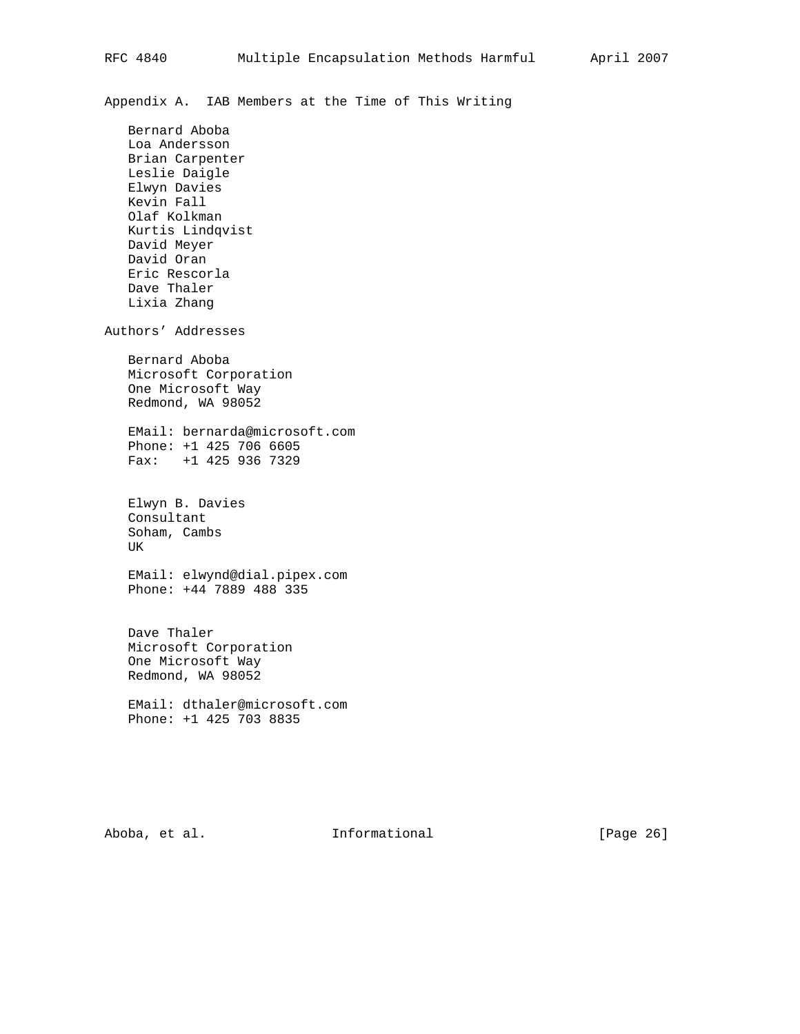Appendix A. IAB Members at the Time of This Writing

 Bernard Aboba Loa Andersson Brian Carpenter Leslie Daigle Elwyn Davies Kevin Fall Olaf Kolkman Kurtis Lindqvist David Meyer David Oran Eric Rescorla Dave Thaler Lixia Zhang Authors' Addresses Bernard Aboba Microsoft Corporation One Microsoft Way Redmond, WA 98052 EMail: bernarda@microsoft.com Phone: +1 425 706 6605 Fax: +1 425 936 7329 Elwyn B. Davies Consultant Soham, Cambs UK EMail: elwynd@dial.pipex.com Phone: +44 7889 488 335 Dave Thaler Microsoft Corporation One Microsoft Way Redmond, WA 98052

 EMail: dthaler@microsoft.com Phone: +1 425 703 8835

Aboba, et al. **Informational** [Page 26]